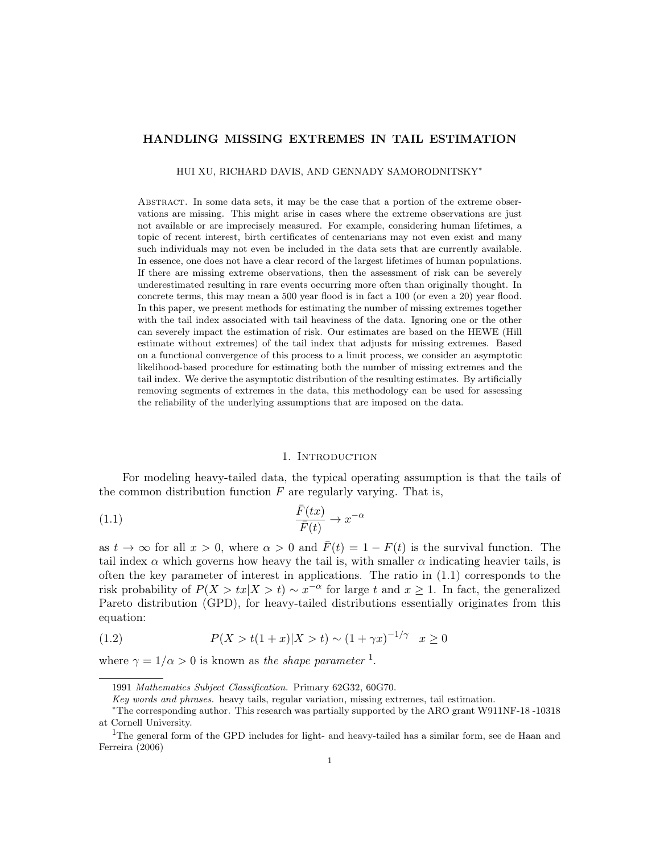# HANDLING MISSING EXTREMES IN TAIL ESTIMATION

HUI XU, RICHARD DAVIS, AND GENNADY SAMORODNITSKY<sup>∗</sup>

Abstract. In some data sets, it may be the case that a portion of the extreme observations are missing. This might arise in cases where the extreme observations are just not available or are imprecisely measured. For example, considering human lifetimes, a topic of recent interest, birth certificates of centenarians may not even exist and many such individuals may not even be included in the data sets that are currently available. In essence, one does not have a clear record of the largest lifetimes of human populations. If there are missing extreme observations, then the assessment of risk can be severely underestimated resulting in rare events occurring more often than originally thought. In concrete terms, this may mean a 500 year flood is in fact a 100 (or even a 20) year flood. In this paper, we present methods for estimating the number of missing extremes together with the tail index associated with tail heaviness of the data. Ignoring one or the other can severely impact the estimation of risk. Our estimates are based on the HEWE (Hill estimate without extremes) of the tail index that adjusts for missing extremes. Based on a functional convergence of this process to a limit process, we consider an asymptotic likelihood-based procedure for estimating both the number of missing extremes and the tail index. We derive the asymptotic distribution of the resulting estimates. By artificially removing segments of extremes in the data, this methodology can be used for assessing the reliability of the underlying assumptions that are imposed on the data.

## 1. Introduction

For modeling heavy-tailed data, the typical operating assumption is that the tails of the common distribution function  $F$  are regularly varying. That is,

(1.1) 
$$
\frac{\bar{F}(tx)}{\bar{F}(t)} \to x^{-\alpha}
$$

as  $t \to \infty$  for all  $x > 0$ , where  $\alpha > 0$  and  $\bar{F}(t) = 1 - F(t)$  is the survival function. The tail index  $\alpha$  which governs how heavy the tail is, with smaller  $\alpha$  indicating heavier tails, is often the key parameter of interest in applications. The ratio in (1.1) corresponds to the risk probability of  $P(X > tx | X > t) \sim x^{-\alpha}$  for large t and  $x \ge 1$ . In fact, the generalized Pareto distribution (GPD), for heavy-tailed distributions essentially originates from this equation:

(1.2) 
$$
P(X > t(1+x)|X > t) \sim (1+\gamma x)^{-1/\gamma} \quad x \ge 0
$$

where  $\gamma = 1/\alpha > 0$  is known as the shape parameter <sup>1</sup>.

<sup>1991</sup> Mathematics Subject Classification. Primary 62G32, 60G70.

Key words and phrases. heavy tails, regular variation, missing extremes, tail estimation.

<sup>∗</sup>The corresponding author. This research was partially supported by the ARO grant W911NF-18 -10318 at Cornell University.

<sup>&</sup>lt;sup>1</sup>The general form of the GPD includes for light- and heavy-tailed has a similar form, see de Haan and Ferreira (2006)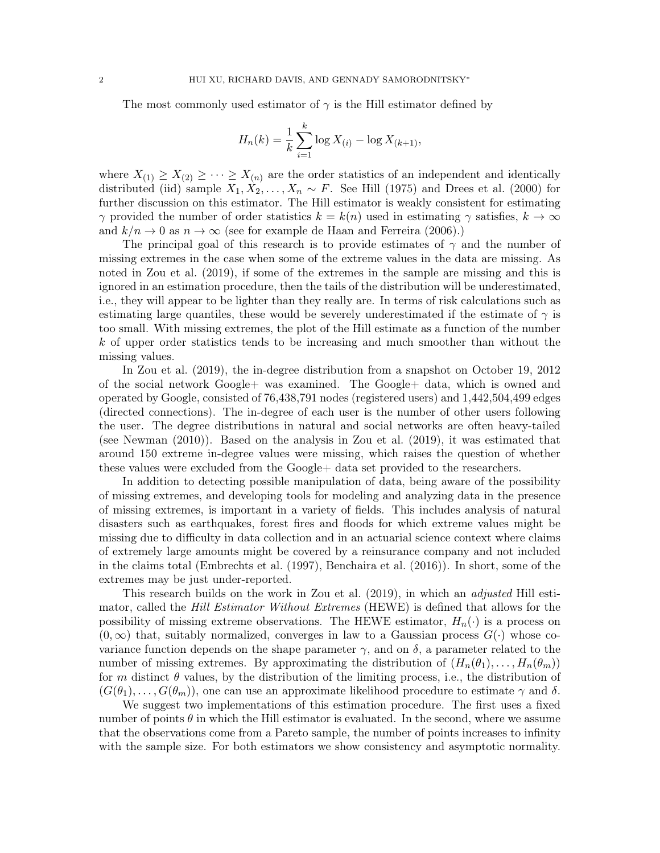The most commonly used estimator of  $\gamma$  is the Hill estimator defined by

$$
H_n(k) = \frac{1}{k} \sum_{i=1}^{k} \log X_{(i)} - \log X_{(k+1)},
$$

where  $X_{(1)} \geq X_{(2)} \geq \cdots \geq X_{(n)}$  are the order statistics of an independent and identically distributed (iid) sample  $X_1, X_2, \ldots, X_n \sim F$ . See Hill (1975) and Drees et al. (2000) for further discussion on this estimator. The Hill estimator is weakly consistent for estimating  $\gamma$  provided the number of order statistics  $k = k(n)$  used in estimating  $\gamma$  satisfies,  $k \to \infty$ and  $k/n \to 0$  as  $n \to \infty$  (see for example de Haan and Ferreira (2006).)

The principal goal of this research is to provide estimates of  $\gamma$  and the number of missing extremes in the case when some of the extreme values in the data are missing. As noted in Zou et al. (2019), if some of the extremes in the sample are missing and this is ignored in an estimation procedure, then the tails of the distribution will be underestimated, i.e., they will appear to be lighter than they really are. In terms of risk calculations such as estimating large quantiles, these would be severely underestimated if the estimate of  $\gamma$  is too small. With missing extremes, the plot of the Hill estimate as a function of the number k of upper order statistics tends to be increasing and much smoother than without the missing values.

In Zou et al. (2019), the in-degree distribution from a snapshot on October 19, 2012 of the social network Google+ was examined. The Google+ data, which is owned and operated by Google, consisted of 76,438,791 nodes (registered users) and 1,442,504,499 edges (directed connections). The in-degree of each user is the number of other users following the user. The degree distributions in natural and social networks are often heavy-tailed (see Newman (2010)). Based on the analysis in Zou et al. (2019), it was estimated that around 150 extreme in-degree values were missing, which raises the question of whether these values were excluded from the Google+ data set provided to the researchers.

In addition to detecting possible manipulation of data, being aware of the possibility of missing extremes, and developing tools for modeling and analyzing data in the presence of missing extremes, is important in a variety of fields. This includes analysis of natural disasters such as earthquakes, forest fires and floods for which extreme values might be missing due to difficulty in data collection and in an actuarial science context where claims of extremely large amounts might be covered by a reinsurance company and not included in the claims total (Embrechts et al. (1997), Benchaira et al. (2016)). In short, some of the extremes may be just under-reported.

This research builds on the work in Zou et al. (2019), in which an adjusted Hill estimator, called the Hill Estimator Without Extremes (HEWE) is defined that allows for the possibility of missing extreme observations. The HEWE estimator,  $H_n(\cdot)$  is a process on  $(0, \infty)$  that, suitably normalized, converges in law to a Gaussian process  $G(\cdot)$  whose covariance function depends on the shape parameter  $\gamma$ , and on  $\delta$ , a parameter related to the number of missing extremes. By approximating the distribution of  $(H_n(\theta_1), \ldots, H_n(\theta_m))$ for m distinct  $\theta$  values, by the distribution of the limiting process, i.e., the distribution of  $(G(\theta_1), \ldots, G(\theta_m))$ , one can use an approximate likelihood procedure to estimate  $\gamma$  and  $\delta$ .

We suggest two implementations of this estimation procedure. The first uses a fixed number of points  $\theta$  in which the Hill estimator is evaluated. In the second, where we assume that the observations come from a Pareto sample, the number of points increases to infinity with the sample size. For both estimators we show consistency and asymptotic normality.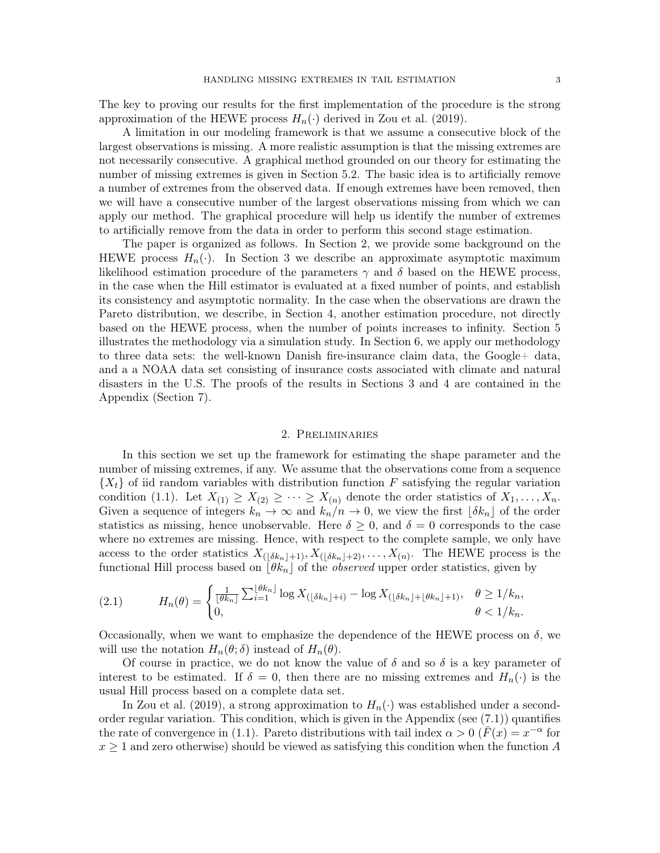The key to proving our results for the first implementation of the procedure is the strong approximation of the HEWE process  $H_n(\cdot)$  derived in Zou et al. (2019).

A limitation in our modeling framework is that we assume a consecutive block of the largest observations is missing. A more realistic assumption is that the missing extremes are not necessarily consecutive. A graphical method grounded on our theory for estimating the number of missing extremes is given in Section 5.2. The basic idea is to artificially remove a number of extremes from the observed data. If enough extremes have been removed, then we will have a consecutive number of the largest observations missing from which we can apply our method. The graphical procedure will help us identify the number of extremes to artificially remove from the data in order to perform this second stage estimation.

The paper is organized as follows. In Section 2, we provide some background on the HEWE process  $H_n(\cdot)$ . In Section 3 we describe an approximate asymptotic maximum likelihood estimation procedure of the parameters  $\gamma$  and  $\delta$  based on the HEWE process, in the case when the Hill estimator is evaluated at a fixed number of points, and establish its consistency and asymptotic normality. In the case when the observations are drawn the Pareto distribution, we describe, in Section 4, another estimation procedure, not directly based on the HEWE process, when the number of points increases to infinity. Section 5 illustrates the methodology via a simulation study. In Section 6, we apply our methodology to three data sets: the well-known Danish fire-insurance claim data, the Google+ data, and a a NOAA data set consisting of insurance costs associated with climate and natural disasters in the U.S. The proofs of the results in Sections 3 and 4 are contained in the Appendix (Section 7).

#### 2. Preliminaries

In this section we set up the framework for estimating the shape parameter and the number of missing extremes, if any. We assume that the observations come from a sequence  ${X_t}$  of iid random variables with distribution function F satisfying the regular variation condition (1.1). Let  $X_{(1)} \geq X_{(2)} \geq \cdots \geq X_{(n)}$  denote the order statistics of  $X_1, \ldots, X_n$ . Given a sequence of integers  $k_n \to \infty$  and  $k_n/n \to 0$ , we view the first  $\lfloor \delta k_n \rfloor$  of the order statistics as missing, hence unobservable. Here  $\delta \geq 0$ , and  $\delta = 0$  corresponds to the case where no extremes are missing. Hence, with respect to the complete sample, we only have access to the order statistics  $X_{(\lfloor \delta k_n \rfloor + 1)}, X_{(\lfloor \delta k_n \rfloor + 2)}, \ldots, X_{(n)}$ . The HEWE process is the functional Hill process based on  $\lfloor \theta k_n \rfloor$  of the *observed* upper order statistics, given by

$$
(2.1) \t\t\t\t\tH_n(\theta) = \begin{cases} \frac{1}{\lfloor \theta k_n \rfloor} \sum_{i=1}^{\lfloor \theta k_n \rfloor} \log X_{(\lfloor \delta k_n \rfloor + i)} - \log X_{(\lfloor \delta k_n \rfloor + \lfloor \theta k_n \rfloor + 1)}, & \theta \ge 1/k_n, \\ 0, & \theta < 1/k_n. \end{cases}
$$

Occasionally, when we want to emphasize the dependence of the HEWE process on  $\delta$ , we will use the notation  $H_n(\theta; \delta)$  instead of  $H_n(\theta)$ .

Of course in practice, we do not know the value of  $\delta$  and so  $\delta$  is a key parameter of interest to be estimated. If  $\delta = 0$ , then there are no missing extremes and  $H_n(\cdot)$  is the usual Hill process based on a complete data set.

In Zou et al. (2019), a strong approximation to  $H_n(\cdot)$  was established under a secondorder regular variation. This condition, which is given in the Appendix (see (7.1)) quantifies the rate of convergence in (1.1). Pareto distributions with tail index  $\alpha > 0$  ( $\bar{F}(x) = x^{-\alpha}$  for  $x \geq 1$  and zero otherwise) should be viewed as satisfying this condition when the function A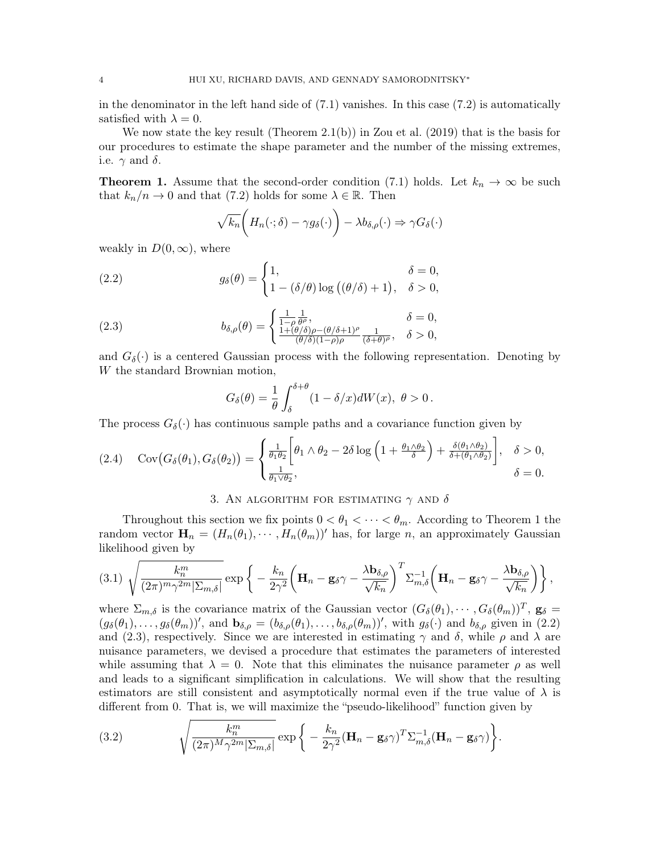in the denominator in the left hand side of  $(7.1)$  vanishes. In this case  $(7.2)$  is automatically satisfied with  $\lambda = 0$ .

We now state the key result (Theorem 2.1(b)) in Zou et al. (2019) that is the basis for our procedures to estimate the shape parameter and the number of the missing extremes, i.e.  $\gamma$  and  $\delta$ .

**Theorem 1.** Assume that the second-order condition (7.1) holds. Let  $k_n \to \infty$  be such that  $k_n/n \to 0$  and that (7.2) holds for some  $\lambda \in \mathbb{R}$ . Then

$$
\sqrt{k_n}\bigg(H_n(\cdot;\delta)-\gamma g_\delta(\cdot)\bigg)-\lambda b_{\delta,\rho}(\cdot)\Rightarrow \gamma G_\delta(\cdot)
$$

weakly in  $D(0,\infty)$ , where

(2.2) 
$$
g_{\delta}(\theta) = \begin{cases} 1, & \delta = 0, \\ 1 - (\delta/\theta) \log ((\theta/\delta) + 1), & \delta > 0, \end{cases}
$$

(2.3) 
$$
b_{\delta,\rho}(\theta) = \begin{cases} \frac{1}{1-\rho} \frac{1}{\theta^{\rho}}, & \delta = 0, \\ \frac{1+(\theta/\delta)\rho - (\theta/\delta+1)^{\rho}}{(\theta/\delta)(1-\rho)\rho} \frac{1}{(\delta+\theta)^{\rho}}, & \delta > 0, \end{cases}
$$

and  $G_{\delta}(\cdot)$  is a centered Gaussian process with the following representation. Denoting by W the standard Brownian motion,

$$
G_{\delta}(\theta) = \frac{1}{\theta} \int_{\delta}^{\delta + \theta} (1 - \delta/x) dW(x), \ \theta > 0.
$$

The process  $G_{\delta}(\cdot)$  has continuous sample paths and a covariance function given by

$$
(2.4) \quad \text{Cov}(G_{\delta}(\theta_1), G_{\delta}(\theta_2)) = \begin{cases} \frac{1}{\theta_1 \theta_2} \left[ \theta_1 \wedge \theta_2 - 2\delta \log \left( 1 + \frac{\theta_1 \wedge \theta_2}{\delta} \right) + \frac{\delta(\theta_1 \wedge \theta_2)}{\delta + (\theta_1 \wedge \theta_2)} \right], & \delta > 0, \\ \frac{1}{\theta_1 \vee \theta_2}, & \delta = 0. \end{cases}
$$

## 3. AN ALGORITHM FOR ESTIMATING  $\gamma$  and  $\delta$

Throughout this section we fix points  $0 < \theta_1 < \cdots < \theta_m$ . According to Theorem 1 the random vector  $\mathbf{H}_n = (H_n(\theta_1), \cdots, H_n(\theta_m))'$  has, for large n, an approximately Gaussian likelihood given by

$$
(3.1) \ \sqrt{\frac{k_n^m}{(2\pi)^m \gamma^{2m} |\Sigma_{m,\delta}|}} \exp\bigg\{-\frac{k_n}{2\gamma^2} \bigg(\mathbf{H}_n - \mathbf{g}_{\delta} \gamma - \frac{\lambda \mathbf{b}_{\delta,\rho}}{\sqrt{k_n}}\bigg)^T \Sigma_{m,\delta}^{-1} \bigg(\mathbf{H}_n - \mathbf{g}_{\delta} \gamma - \frac{\lambda \mathbf{b}_{\delta,\rho}}{\sqrt{k_n}}\bigg)\bigg\}\,,
$$

where  $\Sigma_{m,\delta}$  is the covariance matrix of the Gaussian vector  $(G_{\delta}(\theta_1),\cdots,G_{\delta}(\theta_m))^T$ ,  $\mathbf{g}_{\delta} =$  $(g_{\delta}(\theta_1),...,g_{\delta}(\theta_m))'$ , and  $\mathbf{b}_{\delta,\rho} = (b_{\delta,\rho}(\theta_1),...,b_{\delta,\rho}(\theta_m))'$ , with  $g_{\delta}(\cdot)$  and  $b_{\delta,\rho}$  given in (2.2) and (2.3), respectively. Since we are interested in estimating  $\gamma$  and  $\delta$ , while  $\rho$  and  $\lambda$  are nuisance parameters, we devised a procedure that estimates the parameters of interested while assuming that  $\lambda = 0$ . Note that this eliminates the nuisance parameter  $\rho$  as well and leads to a significant simplification in calculations. We will show that the resulting estimators are still consistent and asymptotically normal even if the true value of  $\lambda$  is different from 0. That is, we will maximize the "pseudo-likelihood" function given by

(3.2) 
$$
\sqrt{\frac{k_n^m}{(2\pi)^M \gamma^{2m} |\Sigma_{m,\delta}|}} \exp \bigg\{-\frac{k_n}{2\gamma^2} (\mathbf{H}_n - \mathbf{g}_{\delta} \gamma)^T \Sigma_{m,\delta}^{-1} (\mathbf{H}_n - \mathbf{g}_{\delta} \gamma)\bigg\}.
$$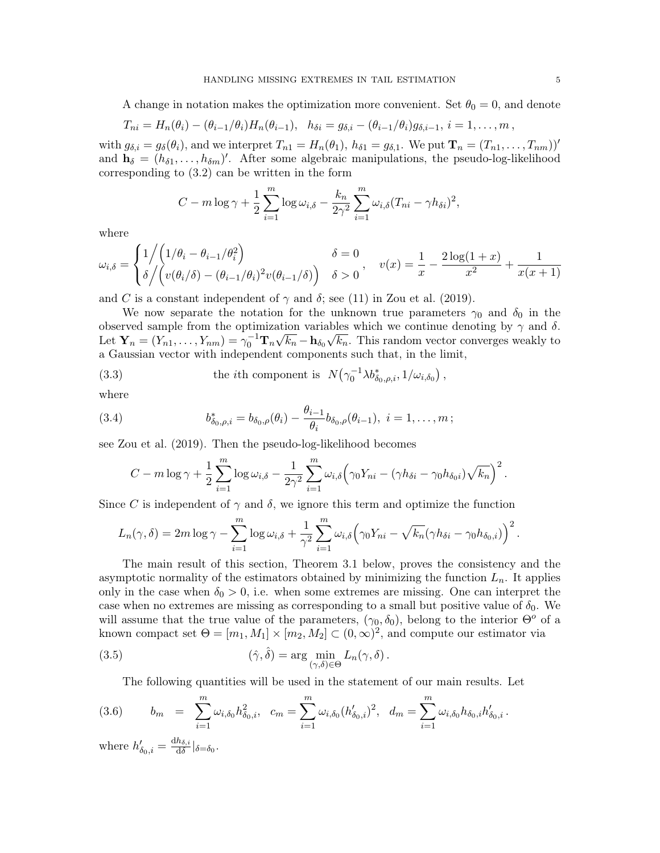A change in notation makes the optimization more convenient. Set  $\theta_0 = 0$ , and denote

$$
T_{ni} = H_n(\theta_i) - (\theta_{i-1}/\theta_i)H_n(\theta_{i-1}), \quad h_{\delta i} = g_{\delta,i} - (\theta_{i-1}/\theta_i)g_{\delta,i-1}, \quad i = 1,\ldots,m,
$$

with  $g_{\delta,i} = g_{\delta}(\theta_i)$ , and we interpret  $T_{n1} = H_n(\theta_1)$ ,  $h_{\delta1} = g_{\delta,1}$ . We put  $\mathbf{T}_n = (T_{n1}, \ldots, T_{nm})$ ' and  $\mathbf{h}_{\delta} = (h_{\delta 1}, \dots, h_{\delta m})'$ . After some algebraic manipulations, the pseudo-log-likelihood corresponding to (3.2) can be written in the form

$$
C - m \log \gamma + \frac{1}{2} \sum_{i=1}^{m} \log \omega_{i,\delta} - \frac{k_n}{2\gamma^2} \sum_{i=1}^{m} \omega_{i,\delta} (T_{ni} - \gamma h_{\delta i})^2,
$$

where

$$
\omega_{i,\delta} = \begin{cases} 1 \Big/ \Big( 1/\theta_i - \theta_{i-1}/\theta_i^2 \Big) & \delta = 0 \\ \delta \Big/ \Big( v(\theta_i/\delta) - (\theta_{i-1}/\theta_i)^2 v(\theta_{i-1}/\delta) \Big) & \delta > 0 \end{cases}, \quad v(x) = \frac{1}{x} - \frac{2\log(1+x)}{x^2} + \frac{1}{x(x+1)}
$$

and C is a constant independent of  $\gamma$  and  $\delta$ ; see (11) in Zou et al. (2019).

We now separate the notation for the unknown true parameters  $\gamma_0$  and  $\delta_0$  in the observed sample from the optimization variables which we continue denoting by γ and δ. Let  $\mathbf{Y}_n = (Y_{n1}, \dots, Y_{nm}) = \gamma_0^{-1} \mathbf{T}_n \sqrt{k_n} - \mathbf{h}_{\delta_0} \sqrt{k_n}$ . This random vector converges weakly to a Gaussian vector with independent components such that, in the limit,

(3.3) the *i*th component is 
$$
N(\gamma_0^{-1} \lambda b_{\delta_0,\rho,i}^*, 1/\omega_{i,\delta_0})
$$
,

where

(3.4) 
$$
b_{\delta_0,\rho,i}^* = b_{\delta_0,\rho}(\theta_i) - \frac{\theta_{i-1}}{\theta_i} b_{\delta_0,\rho}(\theta_{i-1}), \quad i = 1,\ldots,m;
$$

see Zou et al. (2019). Then the pseudo-log-likelihood becomes

$$
C - m \log \gamma + \frac{1}{2} \sum_{i=1}^{m} \log \omega_{i,\delta} - \frac{1}{2\gamma^2} \sum_{i=1}^{m} \omega_{i,\delta} (\gamma_0 Y_{ni} - (\gamma h_{\delta i} - \gamma_0 h_{\delta_0 i}) \sqrt{k_n})^2.
$$

Since C is independent of  $\gamma$  and  $\delta$ , we ignore this term and optimize the function

$$
L_n(\gamma,\delta) = 2m \log \gamma - \sum_{i=1}^m \log \omega_{i,\delta} + \frac{1}{\gamma^2} \sum_{i=1}^m \omega_{i,\delta} (\gamma_0 Y_{ni} - \sqrt{k_n} (\gamma h_{\delta i} - \gamma_0 h_{\delta_0,i}))^2.
$$

The main result of this section, Theorem 3.1 below, proves the consistency and the asymptotic normality of the estimators obtained by minimizing the function  $L_n$ . It applies only in the case when  $\delta_0 > 0$ , i.e. when some extremes are missing. One can interpret the case when no extremes are missing as corresponding to a small but positive value of  $\delta_0$ . We will assume that the true value of the parameters,  $(\gamma_0, \delta_0)$ , belong to the interior  $\Theta^o$  of a known compact set  $\Theta = [m_1, M_1] \times [m_2, M_2] \subset (0, \infty)^2$ , and compute our estimator via

(3.5) 
$$
(\hat{\gamma}, \hat{\delta}) = \arg \min_{(\gamma, \delta) \in \Theta} L_n(\gamma, \delta).
$$

The following quantities will be used in the statement of our main results. Let

(3.6) 
$$
b_m = \sum_{i=1}^m \omega_{i,\delta_0} h_{\delta_0,i}^2, \quad c_m = \sum_{i=1}^m \omega_{i,\delta_0} (h'_{\delta_0,i})^2, \quad d_m = \sum_{i=1}^m \omega_{i,\delta_0} h_{\delta_0,i} h'_{\delta_0,i}.
$$

where  $h'_{\delta_0,i} = \frac{dh_{\delta,i}}{d\delta}$  $\frac{n_{\delta,i}}{\mathrm{d}\delta}|_{\delta=\delta_0}$ .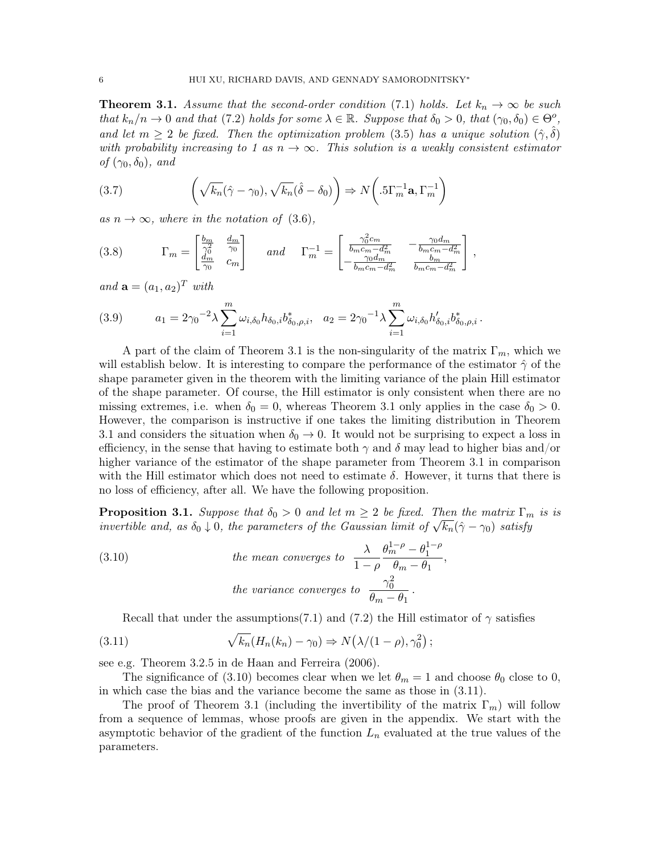**Theorem 3.1.** Assume that the second-order condition (7.1) holds. Let  $k_n \to \infty$  be such that  $k_n/n \to 0$  and that (7.2) holds for some  $\lambda \in \mathbb{R}$ . Suppose that  $\delta_0 > 0$ , that  $(\gamma_0, \delta_0) \in \Theta^o$ , and let  $m \geq 2$  be fixed. Then the optimization problem (3.5) has a unique solution  $(\hat{\gamma}, \delta)$ with probability increasing to 1 as  $n \to \infty$ . This solution is a weakly consistent estimator of  $(\gamma_0, \delta_0)$ , and

(3.7) 
$$
\left(\sqrt{k_n}(\hat{\gamma}-\gamma_0), \sqrt{k_n}(\hat{\delta}-\delta_0)\right) \Rightarrow N\left(.5\Gamma_m^{-1}\mathbf{a}, \Gamma_m^{-1}\right)
$$

as  $n \to \infty$ , where in the notation of (3.6),

(3.8) 
$$
\Gamma_m = \begin{bmatrix} \frac{b_m}{\gamma_0^2} & \frac{d_m}{\gamma_0} \\ \frac{d_m}{\gamma_0} & c_m \end{bmatrix} \quad \text{and} \quad \Gamma_m^{-1} = \begin{bmatrix} \frac{\gamma_0^2 c_m}{b_m c_m - d_m^2} & -\frac{\gamma_0 d_m}{b_m c_m - d_m^2} \\ -\frac{\gamma_0 d_m}{b_m c_m - d_m^2} & \frac{b_m}{b_m c_m - d_m^2} \end{bmatrix},
$$

and  $\mathbf{a} = (a_1, a_2)^T$  with

(3.9) 
$$
a_1 = 2\gamma_0^{-2} \lambda \sum_{i=1}^m \omega_{i,\delta_0} h_{\delta_0,i} b_{\delta_0,\rho,i}^*, \quad a_2 = 2\gamma_0^{-1} \lambda \sum_{i=1}^m \omega_{i,\delta_0} h'_{\delta_0,i} b_{\delta_0,\rho,i}^*.
$$

A part of the claim of Theorem 3.1 is the non-singularity of the matrix  $\Gamma_m$ , which we will establish below. It is interesting to compare the performance of the estimator  $\hat{\gamma}$  of the shape parameter given in the theorem with the limiting variance of the plain Hill estimator of the shape parameter. Of course, the Hill estimator is only consistent when there are no missing extremes, i.e. when  $\delta_0 = 0$ , whereas Theorem 3.1 only applies in the case  $\delta_0 > 0$ . However, the comparison is instructive if one takes the limiting distribution in Theorem 3.1 and considers the situation when  $\delta_0 \rightarrow 0$ . It would not be surprising to expect a loss in efficiency, in the sense that having to estimate both  $\gamma$  and  $\delta$  may lead to higher bias and/or higher variance of the estimator of the shape parameter from Theorem 3.1 in comparison with the Hill estimator which does not need to estimate  $\delta$ . However, it turns that there is no loss of efficiency, after all. We have the following proposition.

**Proposition 3.1.** Suppose that  $\delta_0 > 0$  and let  $m \geq 2$  be fixed. Then the matrix  $\Gamma_m$  is is **Proposition 3.1.** Suppose that  $o_0 > 0$  and let  $m \geq 2$  be fixed. Then the matrix  $1 \frac{m}{n}$  invertible and, as  $\delta_0 \downarrow 0$ , the parameters of the Gaussian limit of  $\sqrt{k_n}(\hat{\gamma} - \gamma_0)$  satisfy

(3.10) the mean converges to 
$$
\frac{\lambda}{1-\rho} \frac{\theta_m^{1-\rho} - \theta_1^{1-\rho}}{\theta_m - \theta_1},
$$
  
the variance converges to 
$$
\frac{\gamma_0^2}{\theta_m - \theta_1}.
$$

Recall that under the assumptions(7.1) and (7.2) the Hill estimator of  $\gamma$  satisfies

(3.11) 
$$
\sqrt{k_n}(H_n(k_n) - \gamma_0) \Rightarrow N(\lambda/(1-\rho), \gamma_0^2);
$$

see e.g. Theorem 3.2.5 in de Haan and Ferreira (2006).

The significance of (3.10) becomes clear when we let  $\theta_m = 1$  and choose  $\theta_0$  close to 0, in which case the bias and the variance become the same as those in (3.11).

The proof of Theorem 3.1 (including the invertibility of the matrix  $\Gamma_m$ ) will follow from a sequence of lemmas, whose proofs are given in the appendix. We start with the asymptotic behavior of the gradient of the function  $L_n$  evaluated at the true values of the parameters.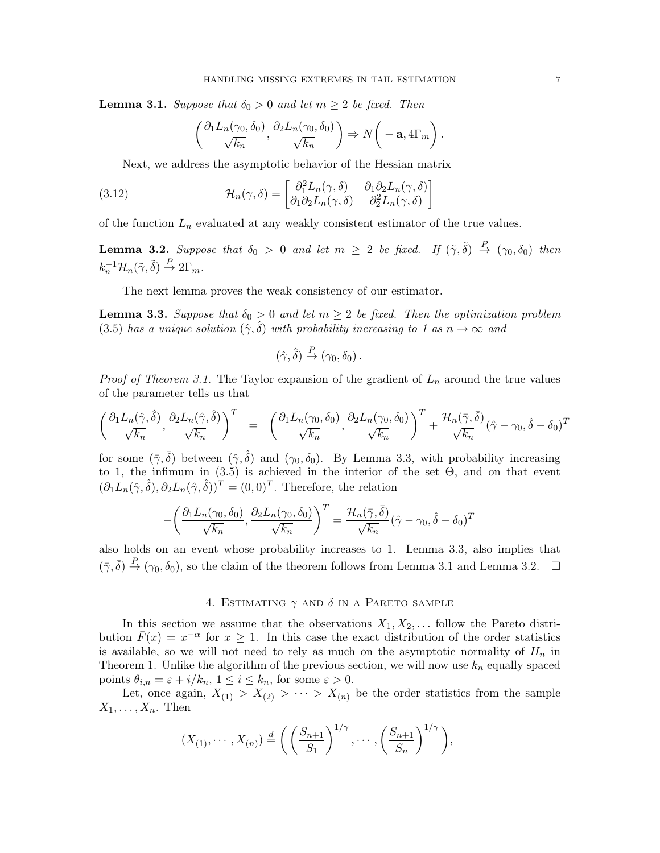**Lemma 3.1.** Suppose that  $\delta_0 > 0$  and let  $m \geq 2$  be fixed. Then

$$
\left(\frac{\partial_1 L_n(\gamma_0, \delta_0)}{\sqrt{k_n}}, \frac{\partial_2 L_n(\gamma_0, \delta_0)}{\sqrt{k_n}}\right) \Rightarrow N\bigg(-\mathbf{a}, 4\Gamma_m\bigg).
$$

Next, we address the asymptotic behavior of the Hessian matrix

(3.12) 
$$
\mathcal{H}_n(\gamma,\delta) = \begin{bmatrix} \partial_1^2 L_n(\gamma,\delta) & \partial_1 \partial_2 L_n(\gamma,\delta) \\ \partial_1 \partial_2 L_n(\gamma,\delta) & \partial_2^2 L_n(\gamma,\delta) \end{bmatrix}
$$

of the function  $L_n$  evaluated at any weakly consistent estimator of the true values.

**Lemma 3.2.** Suppose that  $\delta_0 > 0$  and let  $m \geq 2$  be fixed. If  $(\tilde{\gamma}, \tilde{\delta}) \stackrel{P}{\rightarrow} (\gamma_0, \delta_0)$  then  $k_n^{-1} \mathcal{H}_n(\tilde{\gamma}, \tilde{\delta}) \stackrel{P}{\rightarrow} 2\Gamma_m.$ 

The next lemma proves the weak consistency of our estimator.

**Lemma 3.3.** Suppose that  $\delta_0 > 0$  and let  $m \geq 2$  be fixed. Then the optimization problem (3.5) has a unique solution  $(\hat{\gamma}, \hat{\delta})$  with probability increasing to 1 as  $n \to \infty$  and

$$
(\hat{\gamma}, \hat{\delta}) \stackrel{P}{\to} (\gamma_0, \delta_0).
$$

*Proof of Theorem 3.1.* The Taylor expansion of the gradient of  $L_n$  around the true values of the parameter tells us that

$$
\left(\frac{\partial_1 L_n(\hat{\gamma},\hat{\delta})}{\sqrt{k_n}},\frac{\partial_2 L_n(\hat{\gamma},\hat{\delta})}{\sqrt{k_n}}\right)^T = \left(\frac{\partial_1 L_n(\gamma_0,\delta_0)}{\sqrt{k_n}},\frac{\partial_2 L_n(\gamma_0,\delta_0)}{\sqrt{k_n}}\right)^T + \frac{\mathcal{H}_n(\bar{\gamma},\bar{\delta})}{\sqrt{k_n}}(\hat{\gamma}-\gamma_0,\hat{\delta}-\delta_0)^T
$$

for some  $(\bar{\gamma}, \bar{\delta})$  between  $(\hat{\gamma}, \hat{\delta})$  and  $(\gamma_0, \delta_0)$ . By Lemma 3.3, with probability increasing to 1, the infimum in (3.5) is achieved in the interior of the set Θ, and on that event  $(\partial_1 L_n(\hat{\gamma}, \hat{\delta}), \partial_2 L_n(\hat{\gamma}, \hat{\delta}))^T = (0, 0)^T$ . Therefore, the relation

$$
-\left(\frac{\partial_1 L_n(\gamma_0, \delta_0)}{\sqrt{k_n}}, \frac{\partial_2 L_n(\gamma_0, \delta_0)}{\sqrt{k_n}}\right)^T = \frac{\mathcal{H}_n(\bar{\gamma}, \bar{\delta})}{\sqrt{k_n}}(\hat{\gamma} - \gamma_0, \hat{\delta} - \delta_0)^T
$$

also holds on an event whose probability increases to 1. Lemma 3.3, also implies that  $(\bar{\gamma}, \bar{\delta}) \stackrel{P}{\to} (\gamma_0, \delta_0)$ , so the claim of the theorem follows from Lemma 3.1 and Lemma 3.2.  $\Box$ 

## 4. ESTIMATING  $\gamma$  and  $\delta$  in a Pareto sample

In this section we assume that the observations  $X_1, X_2, \ldots$  follow the Pareto distribution  $\bar{F}(x) = x^{-\alpha}$  for  $x \ge 1$ . In this case the exact distribution of the order statistics is available, so we will not need to rely as much on the asymptotic normality of  $H_n$  in Theorem 1. Unlike the algorithm of the previous section, we will now use  $k_n$  equally spaced points  $\theta_{i,n} = \varepsilon + i/k_n$ ,  $1 \leq i \leq k_n$ , for some  $\varepsilon > 0$ .

Let, once again,  $X_{(1)} > X_{(2)} > \cdots > X_{(n)}$  be the order statistics from the sample  $X_1, \ldots, X_n$ . Then

$$
(X_{(1)},\cdots,X_{(n)})\stackrel{d}{=} \left(\left(\frac{S_{n+1}}{S_1}\right)^{1/\gamma},\cdots,\left(\frac{S_{n+1}}{S_n}\right)^{1/\gamma}\right),\,
$$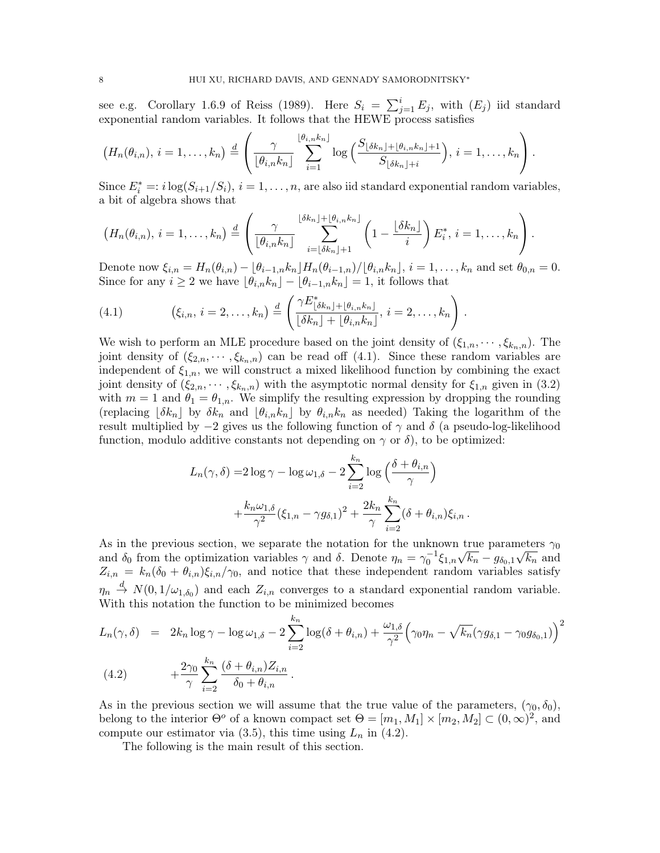see e.g. Corollary 1.6.9 of Reiss (1989). Here  $S_i = \sum_{j=1}^i E_j$ , with  $(E_j)$  iid standard exponential random variables. It follows that the HEWE process satisfies

$$
(H_n(\theta_{i,n}), i=1,\ldots,k_n) \stackrel{d}{=} \left(\frac{\gamma}{\lfloor \theta_{i,n}k_n \rfloor} \sum_{i=1}^{\lfloor \theta_{i,n}k_n \rfloor} \log\Big(\frac{S_{\lfloor \delta k_n \rfloor + \lfloor \theta_{i,n}k_n \rfloor + 1}}{S_{\lfloor \delta k_n \rfloor + i}}\Big), i=1,\ldots,k_n\right).
$$

Since  $E_i^* =: i \log(S_{i+1}/S_i), i = 1, ..., n$ , are also iid standard exponential random variables, a bit of algebra shows that

$$
(H_n(\theta_{i,n}), i=1,\ldots,k_n) \stackrel{d}{=} \left(\frac{\gamma}{\lfloor \theta_{i,n}k_n \rfloor} \sum_{i=\lfloor \delta k_n \rfloor+1}^{\lfloor \delta k_n \rfloor + \lfloor \theta_{i,n}k_n \rfloor} \left(1-\frac{\lfloor \delta k_n \rfloor}{i}\right) E_i^*, i=1,\ldots,k_n\right).
$$

Denote now  $\xi_{i,n} = H_n(\theta_{i,n}) - \left[\frac{\theta_{i-1,n}k_n}{H_n(\theta_{i-1,n})}/\left[\frac{\theta_{i,n}k_n}{H_n}\right], i = 1, \ldots, k_n$  and set  $\theta_{0,n} = 0$ . Since for any  $i \geq 2$  we have  $\lfloor \theta_{i,n} k_n \rfloor - \lfloor \theta_{i-1,n} k_n \rfloor = 1$ , it follows that

(4.1) 
$$
(\xi_{i,n}, i=2,\ldots,k_n) \stackrel{d}{=} \left( \frac{\gamma E^*_{\lfloor \delta k_n \rfloor + \lfloor \theta_{i,n} k_n \rfloor}}{\lfloor \delta k_n \rfloor + \lfloor \theta_{i,n} k_n \rfloor}, i=2,\ldots,k_n \right).
$$

We wish to perform an MLE procedure based on the joint density of  $(\xi_{1,n},\dots,\xi_{k_n,n})$ . The joint density of  $(\xi_{2,n},\cdots,\xi_{k_n,n})$  can be read off  $(4.1)$ . Since these random variables are independent of  $\xi_{1,n}$ , we will construct a mixed likelihood function by combining the exact joint density of  $(\xi_{2,n},\cdots,\xi_{k_n,n})$  with the asymptotic normal density for  $\xi_{1,n}$  given in (3.2) with  $m = 1$  and  $\theta_1 = \theta_{1,n}$ . We simplify the resulting expression by dropping the rounding (replacing  $|\delta k_n|$  by  $\delta k_n$  and  $|\theta_{i,n}k_n|$  by  $\theta_{i,n}k_n$  as needed) Taking the logarithm of the result multiplied by  $-2$  gives us the following function of  $\gamma$  and  $\delta$  (a pseudo-log-likelihood function, modulo additive constants not depending on  $\gamma$  or  $\delta$ ), to be optimized:

$$
L_n(\gamma, \delta) = 2 \log \gamma - \log \omega_{1, \delta} - 2 \sum_{i=2}^{k_n} \log \left( \frac{\delta + \theta_{i,n}}{\gamma} \right)
$$

$$
+ \frac{k_n \omega_{1, \delta}}{\gamma^2} (\xi_{1,n} - \gamma g_{\delta, 1})^2 + \frac{2k_n}{\gamma} \sum_{i=2}^{k_n} (\delta + \theta_{i,n}) \xi_{i,n} .
$$

As in the previous section, we separate the notation for the unknown true parameters  $\gamma_0$ As in the previous section, we separate the hotation for the unknown true parameters  $\gamma_0$ <br>and  $\delta_0$  from the optimization variables  $\gamma$  and  $\delta$ . Denote  $\eta_n = \gamma_0^{-1} \xi_{1,n} \sqrt{k_n} - g_{\delta_0,1} \sqrt{k_n}$  and  $Z_{i,n} = k_n(\delta_0 + \theta_{i,n})\xi_{i,n}/\gamma_0$ , and notice that these independent random variables satisfy  $\eta_n \stackrel{d}{\to} N(0, 1/\omega_{1,\delta_0})$  and each  $Z_{i,n}$  converges to a standard exponential random variable. With this notation the function to be minimized becomes

$$
L_n(\gamma, \delta) = 2k_n \log \gamma - \log \omega_{1, \delta} - 2 \sum_{i=2}^{k_n} \log(\delta + \theta_{i,n}) + \frac{\omega_{1, \delta}}{\gamma^2} \left( \gamma_0 \eta_n - \sqrt{k_n} (\gamma g_{\delta, 1} - \gamma_0 g_{\delta_0, 1}) \right)^2
$$
  
(4.2) 
$$
+ \frac{2\gamma_0}{\gamma} \sum_{i=2}^{k_n} \frac{(\delta + \theta_{i,n}) Z_{i,n}}{\delta_0 + \theta_{i,n}}.
$$

As in the previous section we will assume that the true value of the parameters,  $(\gamma_0, \delta_0)$ , belong to the interior  $\Theta^o$  of a known compact set  $\Theta = [m_1, M_1] \times [m_2, M_2] \subset (0, \infty)^2$ , and compute our estimator via  $(3.5)$ , this time using  $L_n$  in  $(4.2)$ .

The following is the main result of this section.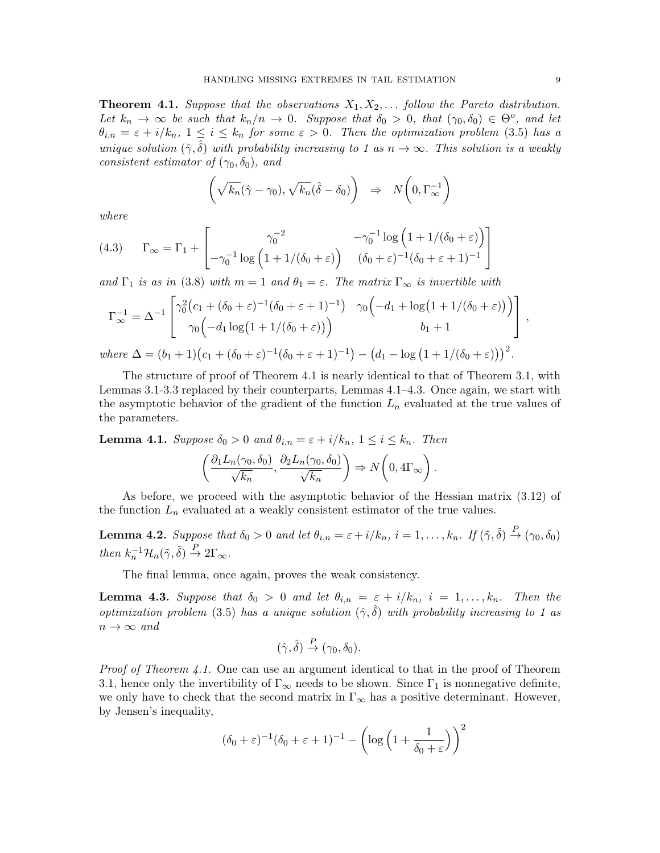**Theorem 4.1.** Suppose that the observations  $X_1, X_2, \ldots$  follow the Pareto distribution. Let  $k_n \to \infty$  be such that  $k_n/n \to 0$ . Suppose that  $\delta_0 > 0$ , that  $(\gamma_0, \delta_0) \in \Theta^o$ , and let  $\theta_{i,n} = \varepsilon + i/k_n$ ,  $1 \leq i \leq k_n$  for some  $\varepsilon > 0$ . Then the optimization problem (3.5) has a unique solution  $(\hat{\gamma}, \hat{\delta})$  with probability increasing to 1 as  $n \to \infty$ . This solution is a weakly consistent estimator of  $(\gamma_0, \delta_0)$ , and

$$
\left(\sqrt{k_n}(\hat{\gamma}-\gamma_0), \sqrt{k_n}(\hat{\delta}-\delta_0)\right) \Rightarrow N\left(0, \Gamma_{\infty}^{-1}\right)
$$

where

(4.3) 
$$
\Gamma_{\infty} = \Gamma_1 + \begin{bmatrix} \gamma_0^{-2} & -\gamma_0^{-1} \log \left( 1 + 1/(\delta_0 + \varepsilon) \right) \\ -\gamma_0^{-1} \log \left( 1 + 1/(\delta_0 + \varepsilon) \right) & (\delta_0 + \varepsilon)^{-1} (\delta_0 + \varepsilon + 1)^{-1} \end{bmatrix}
$$

and  $\Gamma_1$  is as in (3.8) with  $m = 1$  and  $\theta_1 = \varepsilon$ . The matrix  $\Gamma_\infty$  is invertible with

$$
\Gamma_{\infty}^{-1} = \Delta^{-1} \begin{bmatrix} \gamma_0^2 (c_1 + (\delta_0 + \varepsilon)^{-1} (\delta_0 + \varepsilon + 1)^{-1}) & \gamma_0 \Big( -d_1 + \log(1 + 1/(\delta_0 + \varepsilon)) \Big) \\ \gamma_0 \Big( -d_1 \log(1 + 1/(\delta_0 + \varepsilon)) \Big) & b_1 + 1 \end{bmatrix},
$$
  
where  $\Delta = (b_1 + 1)(c_1 + (\delta_0 + \varepsilon)^{-1} (\delta_0 + \varepsilon + 1)^{-1}) - (d_1 - \log(1 + 1/(\delta_0 + \varepsilon)))^2.$ 

The structure of proof of Theorem 4.1 is nearly identical to that of Theorem 3.1, with Lemmas 3.1-3.3 replaced by their counterparts, Lemmas 4.1–4.3. Once again, we start with the asymptotic behavior of the gradient of the function  $L_n$  evaluated at the true values of the parameters.

**Lemma 4.1.** Suppose  $\delta_0 > 0$  and  $\theta_{i,n} = \varepsilon + i/k_n$ ,  $1 \leq i \leq k_n$ . Then

$$
\left(\frac{\partial_1 L_n(\gamma_0, \delta_0)}{\sqrt{k_n}}, \frac{\partial_2 L_n(\gamma_0, \delta_0)}{\sqrt{k_n}}\right) \Rightarrow N\left(0, 4\Gamma_\infty\right).
$$

As before, we proceed with the asymptotic behavior of the Hessian matrix (3.12) of the function  $L_n$  evaluated at a weakly consistent estimator of the true values.

**Lemma 4.2.** Suppose that  $\delta_0 > 0$  and let  $\theta_{i,n} = \varepsilon + i/k_n$ ,  $i = 1, \ldots, k_n$ . If  $(\tilde{\gamma}, \tilde{\delta}) \stackrel{P}{\rightarrow} (\gamma_0, \delta_0)$ then  $k_n^{-1} \mathcal{H}_n(\tilde{\gamma}, \tilde{\delta}) \stackrel{P}{\to} 2\Gamma_{\infty}$ .

The final lemma, once again, proves the weak consistency.

**Lemma 4.3.** Suppose that  $\delta_0 > 0$  and let  $\theta_{i,n} = \varepsilon + i/k_n$ ,  $i = 1, ..., k_n$ . Then the optimization problem (3.5) has a unique solution  $(\hat{\gamma}, \hat{\delta})$  with probability increasing to 1 as  $n \to \infty$  and

$$
(\hat{\gamma}, \hat{\delta}) \stackrel{P}{\to} (\gamma_0, \delta_0).
$$

Proof of Theorem 4.1. One can use an argument identical to that in the proof of Theorem 3.1, hence only the invertibility of  $\Gamma_{\infty}$  needs to be shown. Since  $\Gamma_1$  is nonnegative definite, we only have to check that the second matrix in  $\Gamma_{\infty}$  has a positive determinant. However, by Jensen's inequality,

$$
(\delta_0 + \varepsilon)^{-1} (\delta_0 + \varepsilon + 1)^{-1} - \left( \log \left( 1 + \frac{1}{\delta_0 + \varepsilon} \right) \right)^2
$$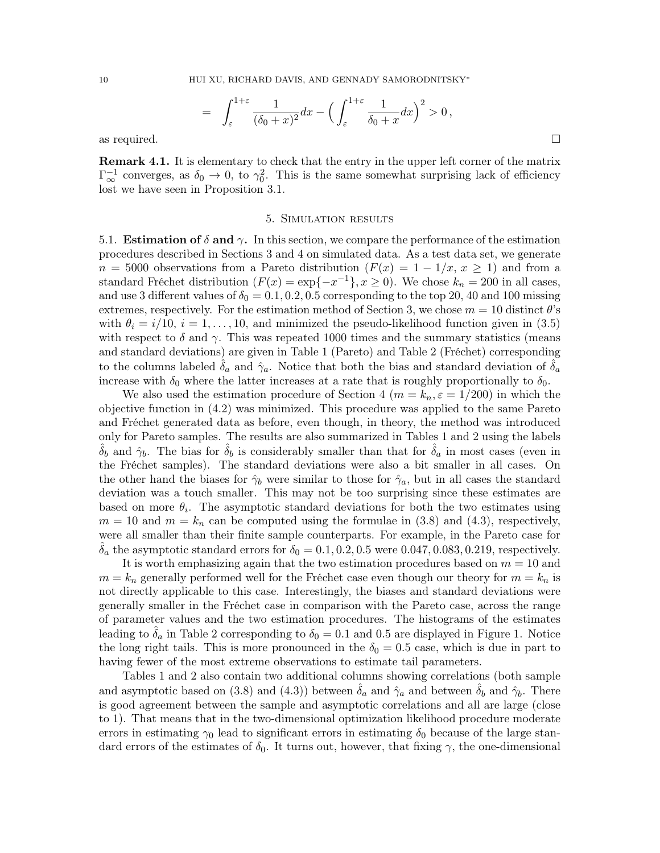$$
= \int_{\varepsilon}^{1+\varepsilon} \frac{1}{(\delta_0+x)^2} dx - \Big(\int_{\varepsilon}^{1+\varepsilon} \frac{1}{\delta_0+x} dx\Big)^2 > 0,
$$
 as required.

Remark 4.1. It is elementary to check that the entry in the upper left corner of the matrix  $\Gamma_{\infty}^{-1}$  converges, as  $\delta_0 \to 0$ , to  $\gamma_0^2$ . This is the same somewhat surprising lack of efficiency lost we have seen in Proposition 3.1.

#### 5. Simulation results

5.1. **Estimation of**  $\delta$  and  $\gamma$ . In this section, we compare the performance of the estimation procedures described in Sections 3 and 4 on simulated data. As a test data set, we generate  $n = 5000$  observations from a Pareto distribution  $(F(x) = 1 - 1/x, x \ge 1)$  and from a standard Fréchet distribution  $(F(x) = \exp\{-x^{-1}\}, x \ge 0)$ . We chose  $k_n = 200$  in all cases, and use 3 different values of  $\delta_0 = 0.1, 0.2, 0.5$  corresponding to the top 20, 40 and 100 missing extremes, respectively. For the estimation method of Section 3, we chose  $m = 10$  distinct  $\theta$ 's with  $\theta_i = i/10$ ,  $i = 1, \ldots, 10$ , and minimized the pseudo-likelihood function given in (3.5) with respect to  $\delta$  and  $\gamma$ . This was repeated 1000 times and the summary statistics (means and standard deviations) are given in Table 1 (Pareto) and Table 2 (Fréchet) corresponding to the columns labeled  $\delta_a$  and  $\hat{\gamma}_a$ . Notice that both the bias and standard deviation of  $\delta_a$ increase with  $\delta_0$  where the latter increases at a rate that is roughly proportionally to  $\delta_0$ .

We also used the estimation procedure of Section 4 ( $m = k_n$ ,  $\varepsilon = 1/200$ ) in which the objective function in (4.2) was minimized. This procedure was applied to the same Pareto and Fréchet generated data as before, even though, in theory, the method was introduced only for Pareto samples. The results are also summarized in Tables 1 and 2 using the labels  $\delta_b$  and  $\hat{\gamma}_b$ . The bias for  $\delta_b$  is considerably smaller than that for  $\delta_a$  in most cases (even in the Fréchet samples). The standard deviations were also a bit smaller in all cases. On the other hand the biases for  $\hat{\gamma}_b$  were similar to those for  $\hat{\gamma}_a$ , but in all cases the standard deviation was a touch smaller. This may not be too surprising since these estimates are based on more  $\theta_i$ . The asymptotic standard deviations for both the two estimates using  $m = 10$  and  $m = k_n$  can be computed using the formulae in (3.8) and (4.3), respectively, were all smaller than their finite sample counterparts. For example, in the Pareto case for  $\delta_a$  the asymptotic standard errors for  $\delta_0 = 0.1, 0.2, 0.5$  were 0.047, 0.083, 0.219, respectively.

It is worth emphasizing again that the two estimation procedures based on  $m = 10$  and  $m = k_n$  generally performed well for the Fréchet case even though our theory for  $m = k_n$  is not directly applicable to this case. Interestingly, the biases and standard deviations were generally smaller in the Fréchet case in comparison with the Pareto case, across the range of parameter values and the two estimation procedures. The histograms of the estimates leading to  $\delta_a$  in Table 2 corresponding to  $\delta_0 = 0.1$  and 0.5 are displayed in Figure 1. Notice the long right tails. This is more pronounced in the  $\delta_0 = 0.5$  case, which is due in part to having fewer of the most extreme observations to estimate tail parameters.

Tables 1 and 2 also contain two additional columns showing correlations (both sample and asymptotic based on (3.8) and (4.3)) between  $\hat{\delta}_a$  and  $\hat{\gamma}_a$  and between  $\hat{\delta}_b$  and  $\hat{\gamma}_b$ . There is good agreement between the sample and asymptotic correlations and all are large (close to 1). That means that in the two-dimensional optimization likelihood procedure moderate errors in estimating  $\gamma_0$  lead to significant errors in estimating  $\delta_0$  because of the large standard errors of the estimates of  $\delta_0$ . It turns out, however, that fixing  $\gamma$ , the one-dimensional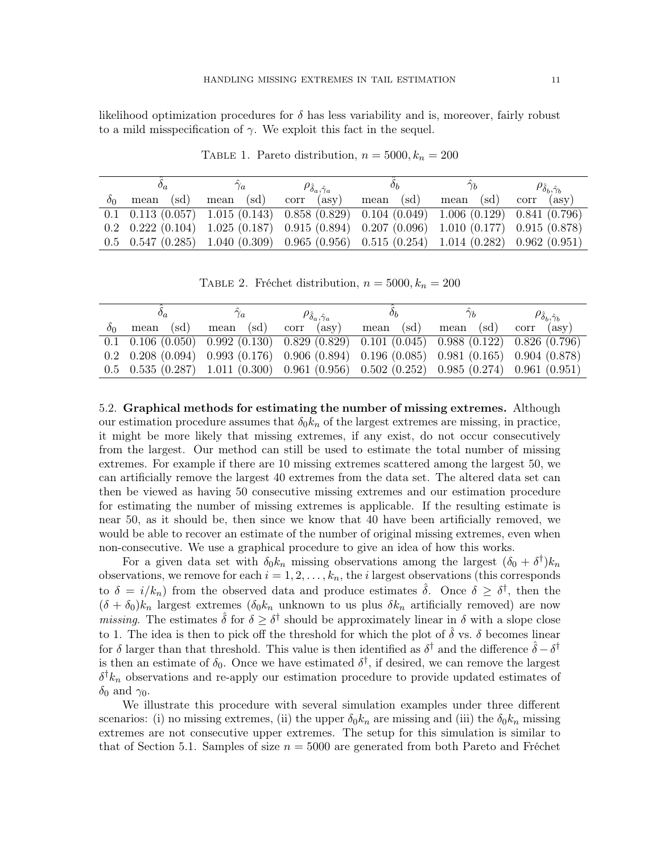likelihood optimization procedures for  $\delta$  has less variability and is, moreover, fairly robust to a mild misspecification of  $\gamma$ . We exploit this fact in the sequel.

|            | $\sigma_a$ | $\gamma_a$                                                                                                                                | $\rho_{\hat{\delta}_a,\hat{\gamma}_a}$ | Оh           |              | $\rho_{\hat{\delta}_b, \hat{\gamma}_b}$ |
|------------|------------|-------------------------------------------------------------------------------------------------------------------------------------------|----------------------------------------|--------------|--------------|-----------------------------------------|
| $\delta$ 0 | mean (sd)  | mean (sd)                                                                                                                                 | corr<br>$($ asv $)$                    | (sd)<br>mean | (sd)<br>mean | $($ asv $)$<br>corr                     |
|            |            | $0.1$ $0.113$ $(0.057)$ $1.015$ $(0.143)$ $0.858$ $(0.829)$ $0.104$ $(0.049)$ $1.006$ $(0.129)$ $0.841$ $(0.796)$                         |                                        |              |              |                                         |
|            |            | $0.2 \quad 0.222 \ (0.104) \quad 1.025 \ (0.187) \quad 0.915 \ (0.894) \quad 0.207 \ (0.096) \quad 1.010 \ (0.177) \quad 0.915 \ (0.878)$ |                                        |              |              |                                         |
|            |            | $0.5$ $0.547$ $(0.285)$ $1.040$ $(0.309)$ $0.965$ $(0.956)$ $0.515$ $(0.254)$ $1.014$ $(0.282)$ $0.962$ $(0.951)$                         |                                        |              |              |                                         |

TABLE 1. Pareto distribution,  $n = 5000, k_n = 200$ 

TABLE 2. Fréchet distribution,  $n = 5000, k_n = 200$ 

|    |              |                                                                                                                                           | $\rho_{\hat{\delta}_a,\hat{\gamma}_a}$ | Оh           |              | $\rho_{\hat{\delta}_b, \hat{\gamma}_b}$ |
|----|--------------|-------------------------------------------------------------------------------------------------------------------------------------------|----------------------------------------|--------------|--------------|-----------------------------------------|
| ðο | (sd)<br>mean | (sd)<br>mean                                                                                                                              | $($ asv $)$<br>corr                    | (sd)<br>mean | (sd)<br>mean | $($ asv $)$<br>corr                     |
|    |              | $0.1 \quad 0.106 \ (0.050) \quad 0.992 \ (0.130) \quad 0.829 \ (0.829) \quad 0.101 \ (0.045) \quad 0.988 \ (0.122) \quad 0.826 \ (0.796)$ |                                        |              |              |                                         |
|    |              | $0.2\quad 0.208\ (0.094)$ $0.993\ (0.176)$ $0.906\ (0.894)$ $0.196\ (0.085)$ $0.981\ (0.165)$ $0.904\ (0.878)$                            |                                        |              |              |                                         |
|    |              | $0.5$ $0.535$ $(0.287)$ $1.011$ $(0.300)$ $0.961$ $(0.956)$ $0.502$ $(0.252)$ $0.985$ $(0.274)$ $0.961$ $(0.951)$                         |                                        |              |              |                                         |

5.2. Graphical methods for estimating the number of missing extremes. Although our estimation procedure assumes that  $\delta_0 k_n$  of the largest extremes are missing, in practice, it might be more likely that missing extremes, if any exist, do not occur consecutively from the largest. Our method can still be used to estimate the total number of missing extremes. For example if there are 10 missing extremes scattered among the largest 50, we can artificially remove the largest 40 extremes from the data set. The altered data set can then be viewed as having 50 consecutive missing extremes and our estimation procedure for estimating the number of missing extremes is applicable. If the resulting estimate is near 50, as it should be, then since we know that 40 have been artificially removed, we would be able to recover an estimate of the number of original missing extremes, even when non-consecutive. We use a graphical procedure to give an idea of how this works.

For a given data set with  $\delta_0 k_n$  missing observations among the largest  $(\delta_0 + \delta^{\dagger}) k_n$ observations, we remove for each  $i = 1, 2, \ldots, k_n$ , the *i* largest observations (this corresponds to  $\delta = i/k_n$ ) from the observed data and produce estimates  $\hat{\delta}$ . Once  $\delta \geq \delta^{\dagger}$ , then the  $(\delta + \delta_0)k_n$  largest extremes  $(\delta_0k_n$  unknown to us plus  $\delta k_n$  artificially removed) are now *missing*. The estimates  $\hat{\delta}$  for  $\delta \geq \delta^{\dagger}$  should be approximately linear in  $\delta$  with a slope close to 1. The idea is then to pick off the threshold for which the plot of  $\hat{\delta}$  vs.  $\delta$  becomes linear for  $\delta$  larger than that threshold. This value is then identified as  $\delta^{\dagger}$  and the difference  $\hat{\delta} - \delta^{\dagger}$ is then an estimate of  $\delta_0$ . Once we have estimated  $\delta^{\dagger}$ , if desired, we can remove the largest  $\delta^{\dagger} k_n$  observations and re-apply our estimation procedure to provide updated estimates of  $\delta_0$  and  $\gamma_0$ .

We illustrate this procedure with several simulation examples under three different scenarios: (i) no missing extremes, (ii) the upper  $\delta_0 k_n$  are missing and (iii) the  $\delta_0 k_n$  missing extremes are not consecutive upper extremes. The setup for this simulation is similar to that of Section 5.1. Samples of size  $n = 5000$  are generated from both Pareto and Fréchet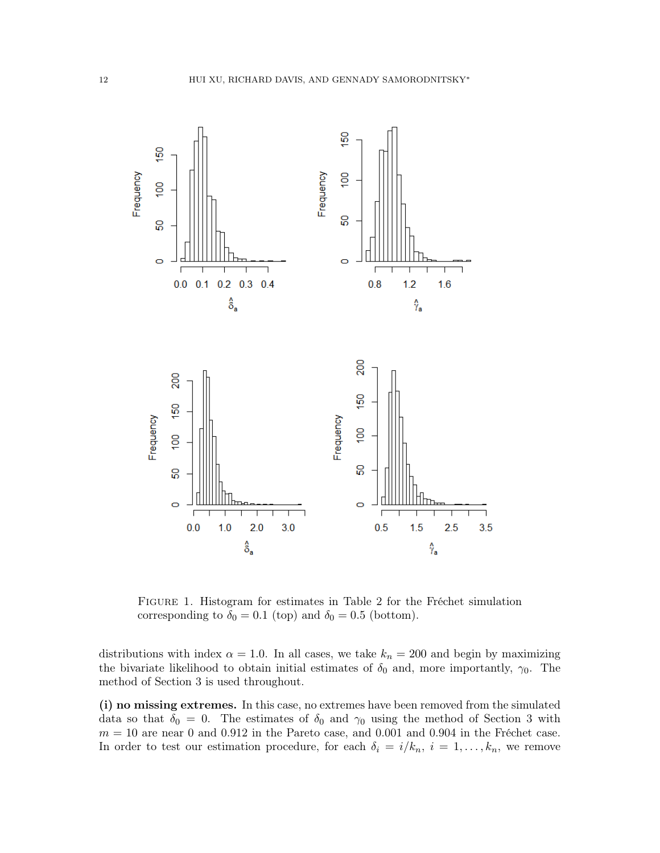

Figure 1. Histogram for estimates in Table 2 for the Fréchet simulation corresponding to  $\delta_0=0.1$  (top) and  $\delta_0=0.5$  (bottom).

distributions with index  $\alpha = 1.0$ . In all cases, we take  $k_n = 200$  and begin by maximizing the bivariate likelihood to obtain initial estimates of  $\delta_0$  and, more importantly,  $\gamma_0$ . The method of Section 3 is used throughout.

(i) no missing extremes. In this case, no extremes have been removed from the simulated data so that  $\delta_0 = 0$ . The estimates of  $\delta_0$  and  $\gamma_0$  using the method of Section 3 with  $m = 10$  are near 0 and 0.912 in the Pareto case, and 0.001 and 0.904 in the Fréchet case. In order to test our estimation procedure, for each  $\delta_i = i/k_n$ ,  $i = 1, ..., k_n$ , we remove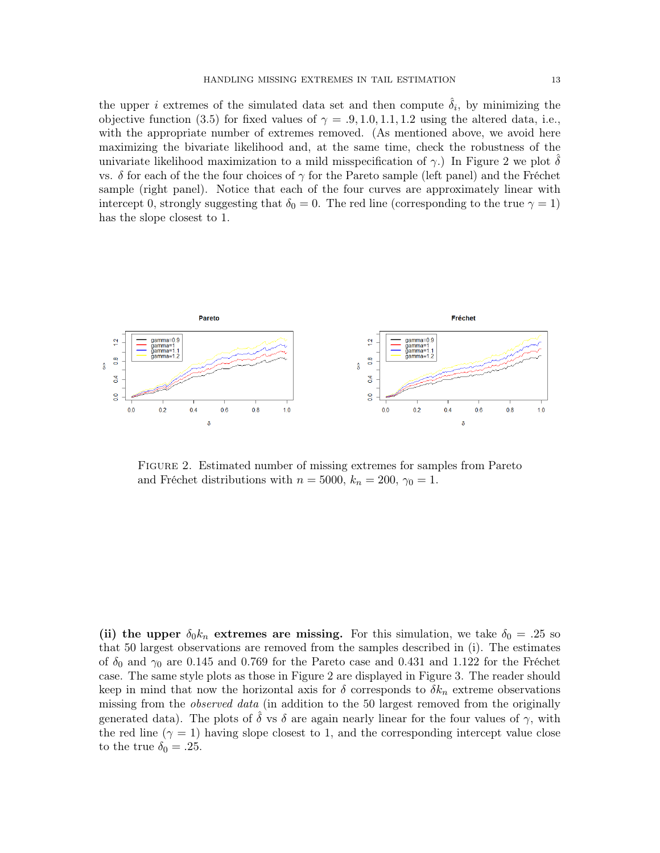the upper *i* extremes of the simulated data set and then compute  $\hat{\delta}_i$ , by minimizing the objective function (3.5) for fixed values of  $\gamma = .9, 1.0, 1.1, 1.2$  using the altered data, i.e., with the appropriate number of extremes removed. (As mentioned above, we avoid here maximizing the bivariate likelihood and, at the same time, check the robustness of the univariate likelihood maximization to a mild misspecification of  $\gamma$ . In Figure 2 we plot  $\delta$ vs. δ for each of the the four choices of γ for the Pareto sample (left panel) and the Fréchet sample (right panel). Notice that each of the four curves are approximately linear with intercept 0, strongly suggesting that  $\delta_0 = 0$ . The red line (corresponding to the true  $\gamma = 1$ ) has the slope closest to 1.



FIGURE 2. Estimated number of missing extremes for samples from Pareto and Fréchet distributions with  $n = 5000$ ,  $k_n = 200$ ,  $\gamma_0 = 1$ .

(ii) the upper  $\delta_0 k_n$  extremes are missing. For this simulation, we take  $\delta_0 = .25$  so that 50 largest observations are removed from the samples described in (i). The estimates of  $\delta_0$  and  $\gamma_0$  are 0.145 and 0.769 for the Pareto case and 0.431 and 1.122 for the Fréchet case. The same style plots as those in Figure 2 are displayed in Figure 3. The reader should keep in mind that now the horizontal axis for  $\delta$  corresponds to  $\delta k_n$  extreme observations missing from the *observed data* (in addition to the 50 largest removed from the originally generated data). The plots of  $\delta$  vs  $\delta$  are again nearly linear for the four values of  $\gamma$ , with the red line  $(\gamma = 1)$  having slope closest to 1, and the corresponding intercept value close to the true  $\delta_0 = .25$ .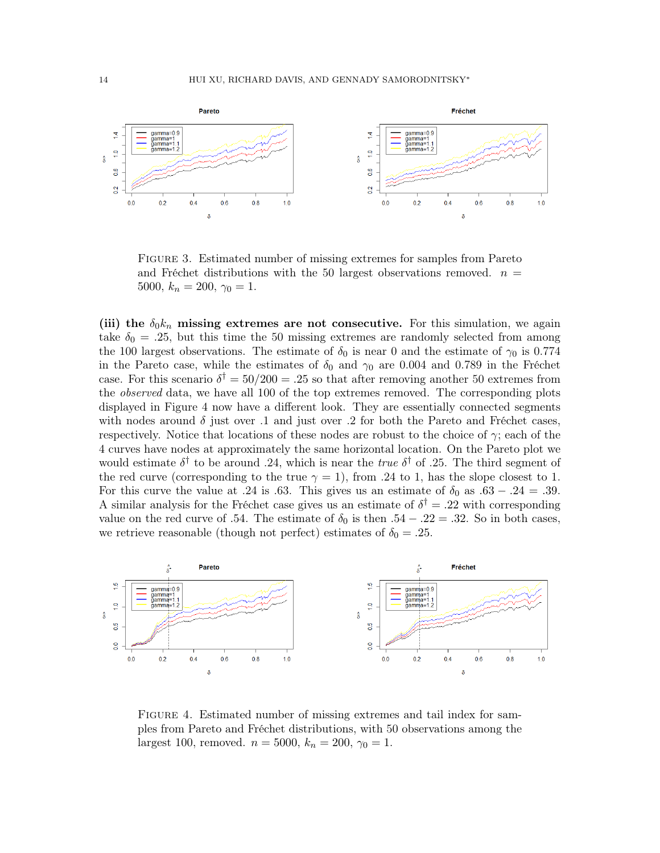

Figure 3. Estimated number of missing extremes for samples from Pareto and Fréchet distributions with the 50 largest observations removed.  $n =$ 5000,  $k_n = 200, \gamma_0 = 1.$ 

(iii) the  $\delta_0 k_n$  missing extremes are not consecutive. For this simulation, we again take  $\delta_0 = .25$ , but this time the 50 missing extremes are randomly selected from among the 100 largest observations. The estimate of  $\delta_0$  is near 0 and the estimate of  $\gamma_0$  is 0.774 in the Pareto case, while the estimates of  $\delta_0$  and  $\gamma_0$  are 0.004 and 0.789 in the Fréchet case. For this scenario  $\delta^{\dagger} = 50/200 = .25$  so that after removing another 50 extremes from the *observed* data, we have all 100 of the top extremes removed. The corresponding plots displayed in Figure 4 now have a different look. They are essentially connected segments with nodes around  $\delta$  just over .1 and just over .2 for both the Pareto and Fréchet cases, respectively. Notice that locations of these nodes are robust to the choice of  $\gamma$ ; each of the 4 curves have nodes at approximately the same horizontal location. On the Pareto plot we would estimate  $\delta^{\dagger}$  to be around .24, which is near the *true*  $\delta^{\dagger}$  of .25. The third segment of the red curve (corresponding to the true  $\gamma = 1$ ), from .24 to 1, has the slope closest to 1. For this curve the value at .24 is .63. This gives us an estimate of  $\delta_0$  as .63 – .24 = .39. A similar analysis for the Fréchet case gives us an estimate of  $\delta^{\dagger} = .22$  with corresponding value on the red curve of .54. The estimate of  $\delta_0$  is then .54 – .22 = .32. So in both cases, we retrieve reasonable (though not perfect) estimates of  $\delta_0 = .25$ .



Figure 4. Estimated number of missing extremes and tail index for samples from Pareto and Fréchet distributions, with 50 observations among the largest 100, removed.  $n = 5000, k_n = 200, \gamma_0 = 1$ .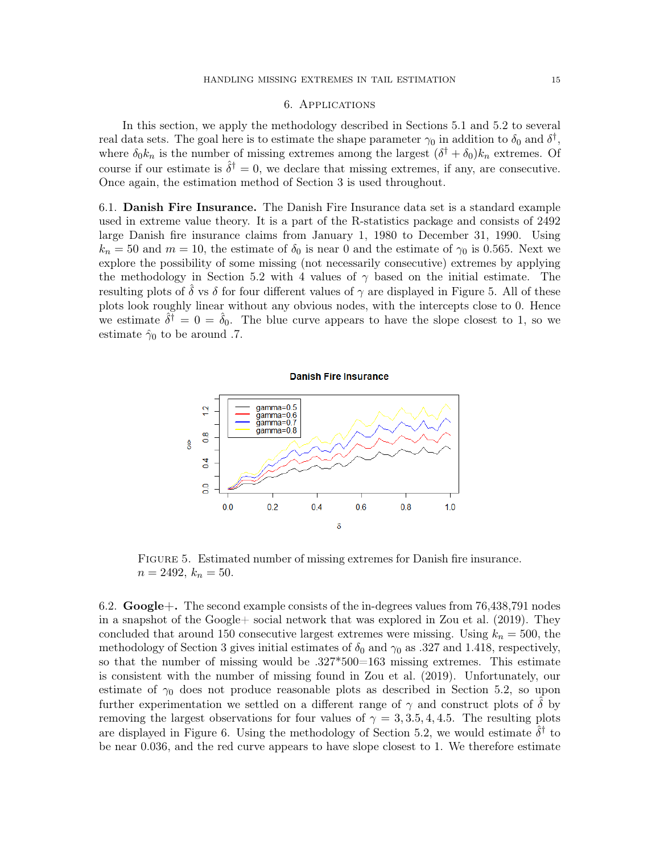## 6. Applications

In this section, we apply the methodology described in Sections 5.1 and 5.2 to several real data sets. The goal here is to estimate the shape parameter  $\gamma_0$  in addition to  $\delta_0$  and  $\delta^{\dagger}$ , where  $\delta_0 k_n$  is the number of missing extremes among the largest  $(\delta^{\dagger} + \delta_0) k_n$  extremes. Of course if our estimate is  $\hat{\delta}^{\dagger} = 0$ , we declare that missing extremes, if any, are consecutive. Once again, the estimation method of Section 3 is used throughout.

6.1. Danish Fire Insurance. The Danish Fire Insurance data set is a standard example used in extreme value theory. It is a part of the R-statistics package and consists of 2492 large Danish fire insurance claims from January 1, 1980 to December 31, 1990. Using  $k_n = 50$  and  $m = 10$ , the estimate of  $\delta_0$  is near 0 and the estimate of  $\gamma_0$  is 0.565. Next we explore the possibility of some missing (not necessarily consecutive) extremes by applying the methodology in Section 5.2 with 4 values of  $\gamma$  based on the initial estimate. The resulting plots of  $\delta$  vs  $\delta$  for four different values of  $\gamma$  are displayed in Figure 5. All of these plots look roughly linear without any obvious nodes, with the intercepts close to 0. Hence we estimate  $\hat{\delta}^{\dagger} = 0 = \hat{\delta}_0$ . The blue curve appears to have the slope closest to 1, so we estimate  $\hat{\gamma}_0$  to be around .7.



Figure 5. Estimated number of missing extremes for Danish fire insurance.  $n = 2492, k_n = 50.$ 

6.2.  $Google+.$  The second example consists of the in-degrees values from 76,438,791 nodes in a snapshot of the Google+ social network that was explored in Zou et al. (2019). They concluded that around 150 consecutive largest extremes were missing. Using  $k_n = 500$ , the methodology of Section 3 gives initial estimates of  $\delta_0$  and  $\gamma_0$  as .327 and 1.418, respectively, so that the number of missing would be .327\*500=163 missing extremes. This estimate is consistent with the number of missing found in Zou et al. (2019). Unfortunately, our estimate of  $\gamma_0$  does not produce reasonable plots as described in Section 5.2, so upon further experimentation we settled on a different range of  $\gamma$  and construct plots of  $\delta$  by removing the largest observations for four values of  $\gamma = 3, 3.5, 4, 4.5$ . The resulting plots are displayed in Figure 6. Using the methodology of Section 5.2, we would estimate  $\hat{\delta}^{\dagger}$  to be near 0.036, and the red curve appears to have slope closest to 1. We therefore estimate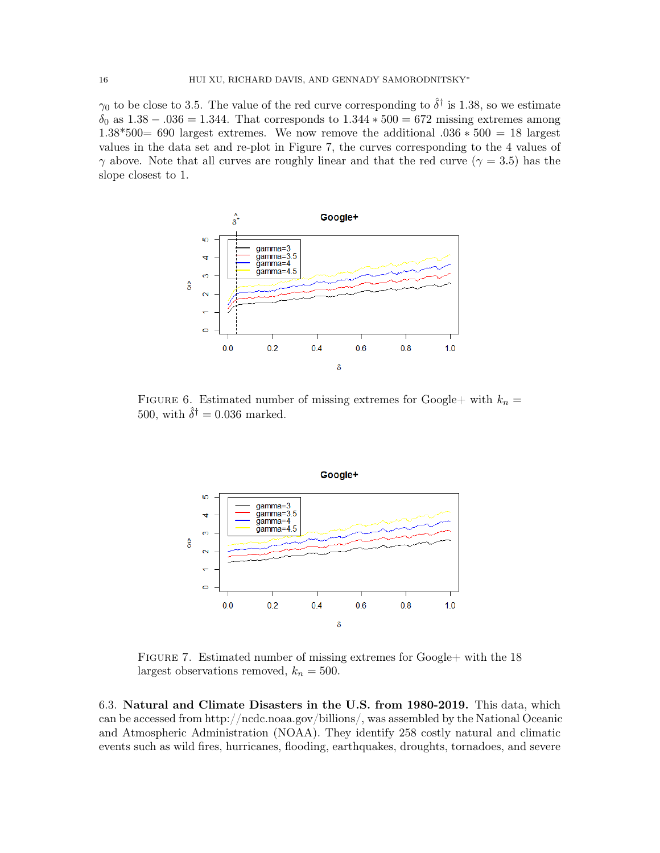$\gamma_0$  to be close to 3.5. The value of the red curve corresponding to  $\hat{\delta}^{\dagger}$  is 1.38, so we estimate  $\delta_0$  as  $1.38 - 0.036 = 1.344$ . That corresponds to  $1.344 * 500 = 672$  missing extremes among 1.38\*500= 690 largest extremes. We now remove the additional .036 ∗ 500 = 18 largest values in the data set and re-plot in Figure 7, the curves corresponding to the 4 values of  $\gamma$  above. Note that all curves are roughly linear and that the red curve ( $\gamma = 3.5$ ) has the slope closest to 1.



FIGURE 6. Estimated number of missing extremes for Google+ with  $k_n =$ 500, with  $\hat{\delta}^{\dagger} = 0.036$  marked.



FIGURE 7. Estimated number of missing extremes for Google+ with the 18 largest observations removed,  $k_n = 500$ .

6.3. Natural and Climate Disasters in the U.S. from 1980-2019. This data, which can be accessed from http://ncdc.noaa.gov/billions/, was assembled by the National Oceanic and Atmospheric Administration (NOAA). They identify 258 costly natural and climatic events such as wild fires, hurricanes, flooding, earthquakes, droughts, tornadoes, and severe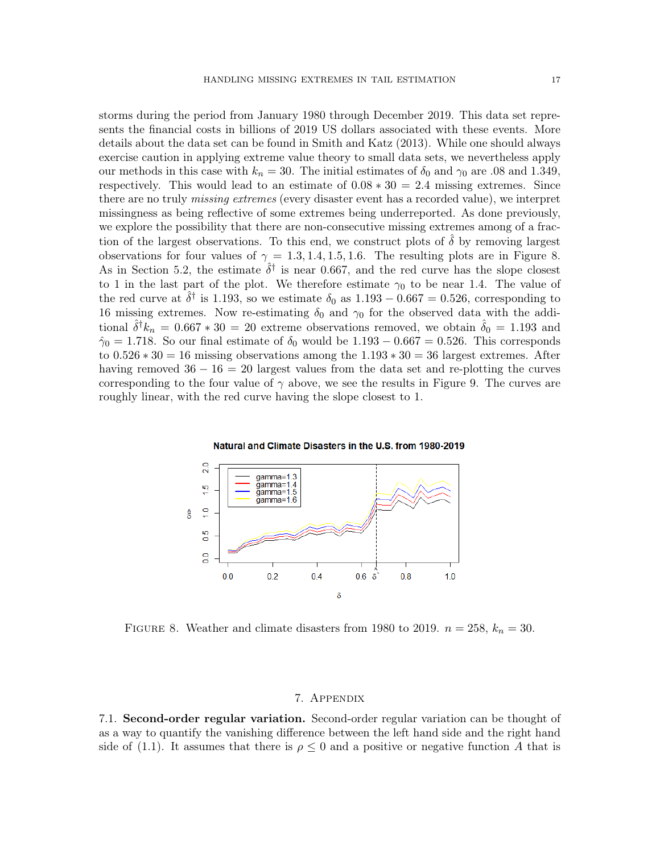storms during the period from January 1980 through December 2019. This data set represents the financial costs in billions of 2019 US dollars associated with these events. More details about the data set can be found in Smith and Katz (2013). While one should always exercise caution in applying extreme value theory to small data sets, we nevertheless apply our methods in this case with  $k_n = 30$ . The initial estimates of  $\delta_0$  and  $\gamma_0$  are .08 and 1.349, respectively. This would lead to an estimate of  $0.08 * 30 = 2.4$  missing extremes. Since there are no truly missing extremes (every disaster event has a recorded value), we interpret missingness as being reflective of some extremes being underreported. As done previously, we explore the possibility that there are non-consecutive missing extremes among of a fraction of the largest observations. To this end, we construct plots of  $\delta$  by removing largest observations for four values of  $\gamma = 1.3, 1.4, 1.5, 1.6$ . The resulting plots are in Figure 8. As in Section 5.2, the estimate  $\hat{\delta}^{\dagger}$  is near 0.667, and the red curve has the slope closest to 1 in the last part of the plot. We therefore estimate  $\gamma_0$  to be near 1.4. The value of the red curve at  $\hat{\delta}^{\dagger}$  is 1.193, so we estimate  $\delta_0$  as  $1.193 - 0.667 = 0.526$ , corresponding to 16 missing extremes. Now re-estimating  $\delta_0$  and  $\gamma_0$  for the observed data with the additional  $\hat{\delta}^{\dagger} k_n = 0.667 * 30 = 20$  extreme observations removed, we obtain  $\hat{\delta}_0 = 1.193$  and  $\hat{\gamma}_0 = 1.718$ . So our final estimate of  $\delta_0$  would be  $1.193 - 0.667 = 0.526$ . This corresponds to  $0.526 * 30 = 16$  missing observations among the  $1.193 * 30 = 36$  largest extremes. After having removed  $36 - 16 = 20$  largest values from the data set and re-plotting the curves corresponding to the four value of  $\gamma$  above, we see the results in Figure 9. The curves are roughly linear, with the red curve having the slope closest to 1.



Natural and Climate Disasters in the U.S. from 1980-2019

FIGURE 8. Weather and climate disasters from 1980 to 2019.  $n = 258$ ,  $k_n = 30$ .

## 7. Appendix

7.1. Second-order regular variation. Second-order regular variation can be thought of as a way to quantify the vanishing difference between the left hand side and the right hand side of (1.1). It assumes that there is  $\rho \leq 0$  and a positive or negative function A that is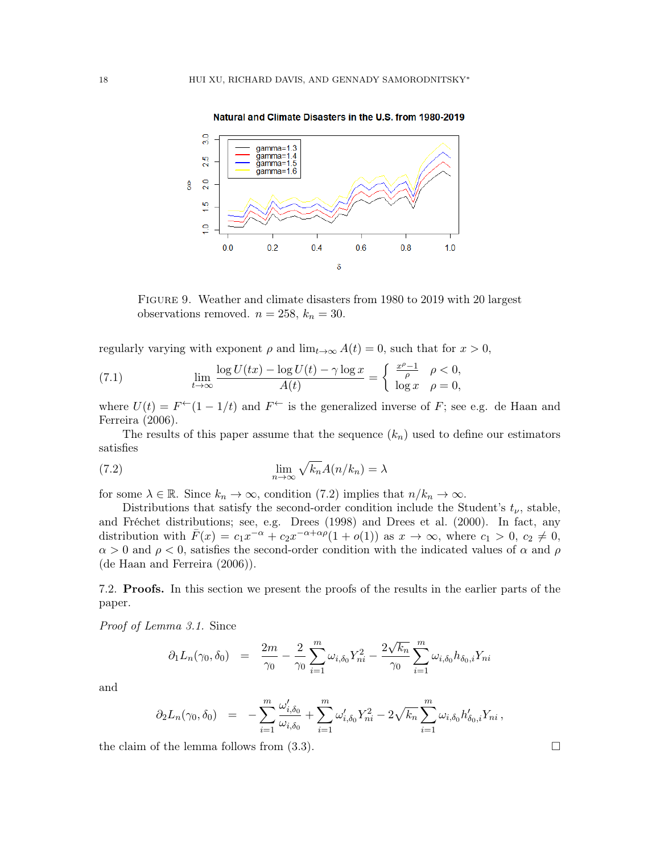

Natural and Climate Disasters in the U.S. from 1980-2019

Figure 9. Weather and climate disasters from 1980 to 2019 with 20 largest observations removed.  $n = 258$ ,  $k_n = 30$ .

regularly varying with exponent  $\rho$  and  $\lim_{t\to\infty} A(t) = 0$ , such that for  $x > 0$ ,

(7.1) 
$$
\lim_{t \to \infty} \frac{\log U(tx) - \log U(t) - \gamma \log x}{A(t)} = \begin{cases} \frac{x^{\rho} - 1}{\rho} & \rho < 0, \\ \log x & \rho = 0, \end{cases}
$$

where  $U(t) = F^{\leftarrow}(1 - 1/t)$  and  $F^{\leftarrow}$  is the generalized inverse of F; see e.g. de Haan and Ferreira (2006).

The results of this paper assume that the sequence  $(k_n)$  used to define our estimators satisfies

(7.2) 
$$
\lim_{n \to \infty} \sqrt{k_n} A(n/k_n) = \lambda
$$

for some  $\lambda \in \mathbb{R}$ . Since  $k_n \to \infty$ , condition (7.2) implies that  $n/k_n \to \infty$ .

Distributions that satisfy the second-order condition include the Student's  $t_{\nu}$ , stable, and Fréchet distributions; see, e.g. Drees (1998) and Drees et al. (2000). In fact, any distribution with  $\bar{F}(x) = c_1 x^{-\alpha} + c_2 x^{-\alpha + \alpha \rho} (1 + o(1))$  as  $x \to \infty$ , where  $c_1 > 0$ ,  $c_2 \neq 0$ ,  $\alpha > 0$  and  $\rho < 0$ , satisfies the second-order condition with the indicated values of  $\alpha$  and  $\rho$ (de Haan and Ferreira (2006)).

7.2. Proofs. In this section we present the proofs of the results in the earlier parts of the paper.

Proof of Lemma 3.1. Since

$$
\partial_1 L_n(\gamma_0, \delta_0) = \frac{2m}{\gamma_0} - \frac{2}{\gamma_0} \sum_{i=1}^m \omega_{i, \delta_0} Y_{ni}^2 - \frac{2\sqrt{k_n}}{\gamma_0} \sum_{i=1}^m \omega_{i, \delta_0} h_{\delta_0, i} Y_{ni}
$$

and

$$
\partial_2 L_n(\gamma_0, \delta_0) = -\sum_{i=1}^m \frac{\omega'_{i, \delta_0}}{\omega_{i, \delta_0}} + \sum_{i=1}^m \omega'_{i, \delta_0} Y_{ni}^2 - 2\sqrt{k_n} \sum_{i=1}^m \omega_{i, \delta_0} h'_{\delta_0, i} Y_{ni},
$$

the claim of the lemma follows from  $(3.3)$ .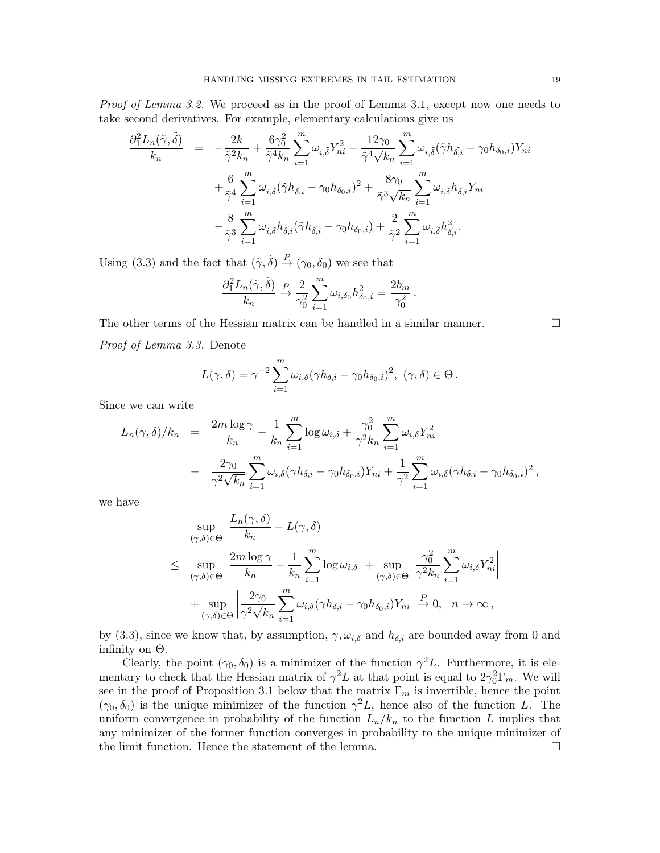Proof of Lemma 3.2. We proceed as in the proof of Lemma 3.1, except now one needs to take second derivatives. For example, elementary calculations give us

$$
\frac{\partial_1^2 L_n(\tilde{\gamma}, \tilde{\delta})}{k_n} = -\frac{2k}{\tilde{\gamma}^2 k_n} + \frac{6\gamma_0^2}{\tilde{\gamma}^4 k_n} \sum_{i=1}^m \omega_{i,\tilde{\delta}} Y_{ni}^2 - \frac{12\gamma_0}{\tilde{\gamma}^4 \sqrt{k_n}} \sum_{i=1}^m \omega_{i,\tilde{\delta}} (\tilde{\gamma} h_{\tilde{\delta},i} - \gamma_0 h_{\delta_0,i}) Y_{ni}
$$

$$
+ \frac{6}{\tilde{\gamma}^4} \sum_{i=1}^m \omega_{i,\tilde{\delta}} (\tilde{\gamma} h_{\tilde{\delta},i} - \gamma_0 h_{\delta_0,i})^2 + \frac{8\gamma_0}{\tilde{\gamma}^3 \sqrt{k_n}} \sum_{i=1}^m \omega_{i,\tilde{\delta}} h_{\tilde{\delta},i} Y_{ni}
$$

$$
- \frac{8}{\tilde{\gamma}^3} \sum_{i=1}^m \omega_{i,\tilde{\delta}} h_{\tilde{\delta},i} (\tilde{\gamma} h_{\tilde{\delta},i} - \gamma_0 h_{\delta_0,i}) + \frac{2}{\tilde{\gamma}^2} \sum_{i=1}^m \omega_{i,\tilde{\delta}} h_{\tilde{\delta},i}^2.
$$

Using (3.3) and the fact that  $(\tilde{\gamma}, \tilde{\delta}) \stackrel{P}{\rightarrow} (\gamma_0, \delta_0)$  we see that

$$
\frac{\partial_1^2 L_n(\tilde{\gamma},\tilde{\delta})}{k_n} \xrightarrow{P} \frac{2}{\gamma_0^2} \sum_{i=1}^m \omega_{i,\delta_0} h_{\delta_0,i}^2 = \frac{2b_m}{\gamma_0^2}.
$$

The other terms of the Hessian matrix can be handled in a similar manner. Proof of Lemma 3.3. Denote

$$
L(\gamma,\delta) = \gamma^{-2} \sum_{i=1}^{m} \omega_{i,\delta} (\gamma h_{\delta,i} - \gamma_0 h_{\delta_0,i})^2, \ (\gamma,\delta) \in \Theta.
$$

Since we can write

$$
L_n(\gamma, \delta)/k_n = \frac{2m \log \gamma}{k_n} - \frac{1}{k_n} \sum_{i=1}^m \log \omega_{i,\delta} + \frac{\gamma_0^2}{\gamma^2 k_n} \sum_{i=1}^m \omega_{i,\delta} Y_{ni}^2
$$
  

$$
- \frac{2\gamma_0}{\gamma^2 \sqrt{k_n}} \sum_{i=1}^m \omega_{i,\delta} (\gamma h_{\delta,i} - \gamma_0 h_{\delta_0,i}) Y_{ni} + \frac{1}{\gamma^2} \sum_{i=1}^m \omega_{i,\delta} (\gamma h_{\delta,i} - \gamma_0 h_{\delta_0,i})^2,
$$

we have

$$
\sup_{(\gamma,\delta)\in\Theta} \left| \frac{L_n(\gamma,\delta)}{k_n} - L(\gamma,\delta) \right|
$$
\n
$$
\leq \sup_{(\gamma,\delta)\in\Theta} \left| \frac{2m\log\gamma}{k_n} - \frac{1}{k_n} \sum_{i=1}^m \log\omega_{i,\delta} \right| + \sup_{(\gamma,\delta)\in\Theta} \left| \frac{\gamma_0^2}{\gamma^2 k_n} \sum_{i=1}^m \omega_{i,\delta} Y_{ni}^2 \right|
$$
\n
$$
+ \sup_{(\gamma,\delta)\in\Theta} \left| \frac{2\gamma_0}{\gamma^2 \sqrt{k_n}} \sum_{i=1}^m \omega_{i,\delta} (\gamma h_{\delta,i} - \gamma_0 h_{\delta_0,i}) Y_{ni} \right| \xrightarrow{P} 0, \quad n \to \infty,
$$

by (3.3), since we know that, by assumption,  $\gamma, \omega_{i,\delta}$  and  $h_{\delta,i}$  are bounded away from 0 and infinity on  $\Theta$ .

Clearly, the point  $(\gamma_0, \delta_0)$  is a minimizer of the function  $\gamma^2 L$ . Furthermore, it is elementary to check that the Hessian matrix of  $\gamma^2 L$  at that point is equal to  $2\gamma_0^2 \Gamma_m$ . We will see in the proof of Proposition 3.1 below that the matrix  $\Gamma_m$  is invertible, hence the point  $(\gamma_0, \delta_0)$  is the unique minimizer of the function  $\gamma^2 L$ , hence also of the function L. The uniform convergence in probability of the function  $L_n/k_n$  to the function L implies that any minimizer of the former function converges in probability to the unique minimizer of the limit function. Hence the statement of the lemma.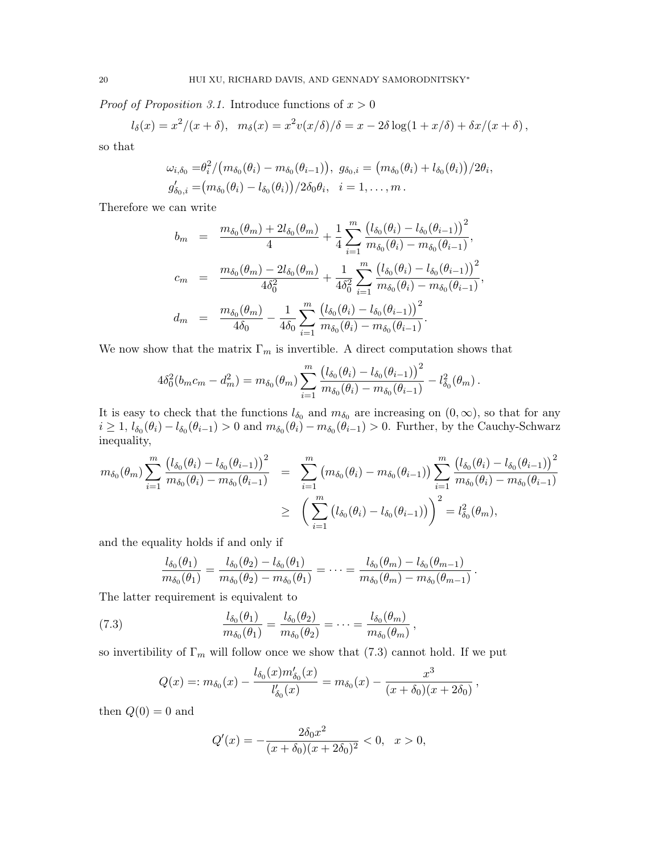*Proof of Proposition 3.1.* Introduce functions of  $x > 0$ 

$$
l_{\delta}(x) = x^2/(x+\delta), \quad m_{\delta}(x) = x^2v(x/\delta)/\delta = x - 2\delta\log(1+x/\delta) + \delta x/(x+\delta),
$$

so that

$$
\omega_{i,\delta_0} = \frac{\theta_i^2}{(m_{\delta_0}(\theta_i) - m_{\delta_0}(\theta_{i-1}))}, \ g_{\delta_0,i} = (m_{\delta_0}(\theta_i) + l_{\delta_0}(\theta_i))/2\theta_i, \ng'_{\delta_0,i} = (m_{\delta_0}(\theta_i) - l_{\delta_0}(\theta_i))/2\delta_0\theta_i, \ i = 1,\ldots,m.
$$

Therefore we can write

$$
b_m = \frac{m_{\delta_0}(\theta_m) + 2l_{\delta_0}(\theta_m)}{4} + \frac{1}{4} \sum_{i=1}^m \frac{\left(l_{\delta_0}(\theta_i) - l_{\delta_0}(\theta_{i-1})\right)^2}{m_{\delta_0}(\theta_i) - m_{\delta_0}(\theta_{i-1})},
$$
  
\n
$$
c_m = \frac{m_{\delta_0}(\theta_m) - 2l_{\delta_0}(\theta_m)}{4\delta_0^2} + \frac{1}{4\delta_0^2} \sum_{i=1}^m \frac{\left(l_{\delta_0}(\theta_i) - l_{\delta_0}(\theta_{i-1})\right)^2}{m_{\delta_0}(\theta_i) - m_{\delta_0}(\theta_{i-1})},
$$
  
\n
$$
d_m = \frac{m_{\delta_0}(\theta_m)}{4\delta_0} - \frac{1}{4\delta_0} \sum_{i=1}^m \frac{\left(l_{\delta_0}(\theta_i) - l_{\delta_0}(\theta_{i-1})\right)^2}{m_{\delta_0}(\theta_i) - m_{\delta_0}(\theta_{i-1})}.
$$

We now show that the matrix  $\Gamma_m$  is invertible. A direct computation shows that

$$
4\delta_0^2(b_m c_m - d_m^2) = m_{\delta_0}(\theta_m) \sum_{i=1}^m \frac{\left(l_{\delta_0}(\theta_i) - l_{\delta_0}(\theta_{i-1})\right)^2}{m_{\delta_0}(\theta_i) - m_{\delta_0}(\theta_{i-1})} - l_{\delta_0}^2(\theta_m).
$$

It is easy to check that the functions  $l_{\delta_0}$  and  $m_{\delta_0}$  are increasing on  $(0, \infty)$ , so that for any  $i \geq 1$ ,  $l_{\delta_0}(\theta_i) - l_{\delta_0}(\theta_{i-1}) > 0$  and  $m_{\delta_0}(\theta_i) - m_{\delta_0}(\theta_{i-1}) > 0$ . Further, by the Cauchy-Schwarz inequality,

$$
m_{\delta_0}(\theta_m) \sum_{i=1}^m \frac{\left(l_{\delta_0}(\theta_i) - l_{\delta_0}(\theta_{i-1})\right)^2}{m_{\delta_0}(\theta_i) - m_{\delta_0}(\theta_{i-1})} = \sum_{i=1}^m \left(m_{\delta_0}(\theta_i) - m_{\delta_0}(\theta_{i-1})\right) \sum_{i=1}^m \frac{\left(l_{\delta_0}(\theta_i) - l_{\delta_0}(\theta_{i-1})\right)^2}{m_{\delta_0}(\theta_i) - m_{\delta_0}(\theta_{i-1})}
$$
  
 
$$
\geq \left(\sum_{i=1}^m \left(l_{\delta_0}(\theta_i) - l_{\delta_0}(\theta_{i-1})\right)\right)^2 = l_{\delta_0}^2(\theta_m),
$$

and the equality holds if and only if

$$
\frac{l_{\delta_0}(\theta_1)}{m_{\delta_0}(\theta_1)} = \frac{l_{\delta_0}(\theta_2) - l_{\delta_0}(\theta_1)}{m_{\delta_0}(\theta_2) - m_{\delta_0}(\theta_1)} = \cdots = \frac{l_{\delta_0}(\theta_m) - l_{\delta_0}(\theta_{m-1})}{m_{\delta_0}(\theta_m) - m_{\delta_0}(\theta_{m-1})}.
$$

The latter requirement is equivalent to

(7.3) 
$$
\frac{l_{\delta_0}(\theta_1)}{m_{\delta_0}(\theta_1)} = \frac{l_{\delta_0}(\theta_2)}{m_{\delta_0}(\theta_2)} = \cdots = \frac{l_{\delta_0}(\theta_m)}{m_{\delta_0}(\theta_m)},
$$

so invertibility of  $\Gamma_m$  will follow once we show that (7.3) cannot hold. If we put

$$
Q(x) =: m_{\delta_0}(x) - \frac{l_{\delta_0}(x) m'_{\delta_0}(x)}{l'_{\delta_0}(x)} = m_{\delta_0}(x) - \frac{x^3}{(x + \delta_0)(x + 2\delta_0)},
$$

then  $Q(0) = 0$  and

$$
Q'(x) = -\frac{2\delta_0 x^2}{(x+\delta_0)(x+2\delta_0)^2} < 0, \quad x > 0,
$$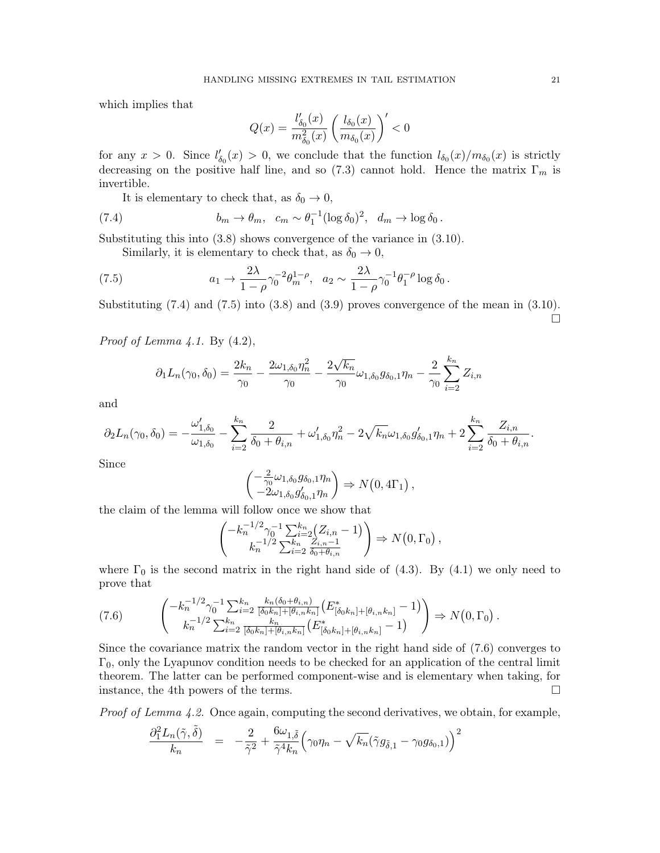which implies that

$$
Q(x)=\frac{l_{\delta_0}'(x)}{m_{\delta_0}^2(x)}\left(\frac{l_{\delta_0}(x)}{m_{\delta_0}(x)}\right)'<0
$$

for any  $x > 0$ . Since  $l'_{\delta_0}(x) > 0$ , we conclude that the function  $l_{\delta_0}(x)/m_{\delta_0}(x)$  is strictly decreasing on the positive half line, and so (7.3) cannot hold. Hence the matrix  $\Gamma_m$  is invertible.

It is elementary to check that, as  $\delta_0 \to 0$ ,

(7.4) 
$$
b_m \to \theta_m, \quad c_m \sim \theta_1^{-1} (\log \delta_0)^2, \quad d_m \to \log \delta_0.
$$

Substituting this into (3.8) shows convergence of the variance in (3.10).

Similarly, it is elementary to check that, as  $\delta_0 \rightarrow 0$ ,

(7.5) 
$$
a_1 \to \frac{2\lambda}{1-\rho} \gamma_0^{-2} \theta_m^{1-\rho}, \quad a_2 \sim \frac{2\lambda}{1-\rho} \gamma_0^{-1} \theta_1^{-\rho} \log \delta_0.
$$

Substituting  $(7.4)$  and  $(7.5)$  into  $(3.8)$  and  $(3.9)$  proves convergence of the mean in  $(3.10)$ .  $\Box$ 

*Proof of Lemma 4.1.* By  $(4.2)$ ,

$$
\partial_1 L_n(\gamma_0, \delta_0) = \frac{2k_n}{\gamma_0} - \frac{2\omega_{1,\delta_0}\eta_n^2}{\gamma_0} - \frac{2\sqrt{k_n}}{\gamma_0}\omega_{1,\delta_0}g_{\delta_0,1}\eta_n - \frac{2}{\gamma_0}\sum_{i=2}^{k_n}Z_{i,n}
$$

and

$$
\partial_2 L_n(\gamma_0, \delta_0) = -\frac{\omega'_{1,\delta_0}}{\omega_{1,\delta_0}} - \sum_{i=2}^{k_n} \frac{2}{\delta_0 + \theta_{i,n}} + \omega'_{1,\delta_0} \eta_n^2 - 2\sqrt{k_n} \omega_{1,\delta_0} g'_{\delta_0,1} \eta_n + 2 \sum_{i=2}^{k_n} \frac{Z_{i,n}}{\delta_0 + \theta_{i,n}}.
$$

Since

$$
\begin{pmatrix} -\frac{2}{\gamma_0}\omega_{1,\delta_0}g_{\delta_0,1}\eta_n\\ -2\omega_{1,\delta_0}g'_{\delta_0,1}\eta_n \end{pmatrix} \Rightarrow N(0,4\Gamma_1),
$$

the claim of the lemma will follow once we show that

$$
\begin{pmatrix} -k_n^{-1/2} \gamma_0^{-1} \sum_{i=2}^{k_n} (Z_{i,n} - 1) \\ k_n^{-1/2} \sum_{i=2}^{k_n} \frac{Z_{i,n-1}}{\delta_0 + \theta_{i,n}} \end{pmatrix} \Rightarrow N(0, \Gamma_0),
$$

where  $\Gamma_0$  is the second matrix in the right hand side of (4.3). By (4.1) we only need to prove that

$$
(7.6) \qquad \begin{pmatrix} -k_n^{-1/2} \gamma_0^{-1} \sum_{i=2}^{k_n} \frac{k_n(\delta_0 + \theta_{i,n})}{[\delta_0 k_n] + [\theta_{i,n} k_n]} \left( E_{[\delta_0 k_n] + [\theta_{i,n} k_n]}^* - 1 \right) \\ k_n^{-1/2} \sum_{i=2}^{k_n} \frac{k_n}{[\delta_0 k_n] + [\theta_{i,n} k_n]} \left( E_{[\delta_0 k_n] + [\theta_{i,n} k_n]}^* - 1 \right) \end{pmatrix} \Rightarrow N(0, \Gamma_0) .
$$

Since the covariance matrix the random vector in the right hand side of (7.6) converges to  $\Gamma_0$ , only the Lyapunov condition needs to be checked for an application of the central limit theorem. The latter can be performed component-wise and is elementary when taking, for instance, the 4th powers of the terms.

*Proof of Lemma 4.2.* Once again, computing the second derivatives, we obtain, for example,

$$
\frac{\partial_1^2 L_n(\tilde{\gamma},\tilde{\delta})}{k_n} = -\frac{2}{\tilde{\gamma}^2} + \frac{6\omega_{1,\tilde{\delta}}}{\tilde{\gamma}^4 k_n} \Big(\gamma_0 \eta_n - \sqrt{k_n} (\tilde{\gamma} g_{\tilde{\delta},1} - \gamma_0 g_{\delta_0,1})\Big)^2
$$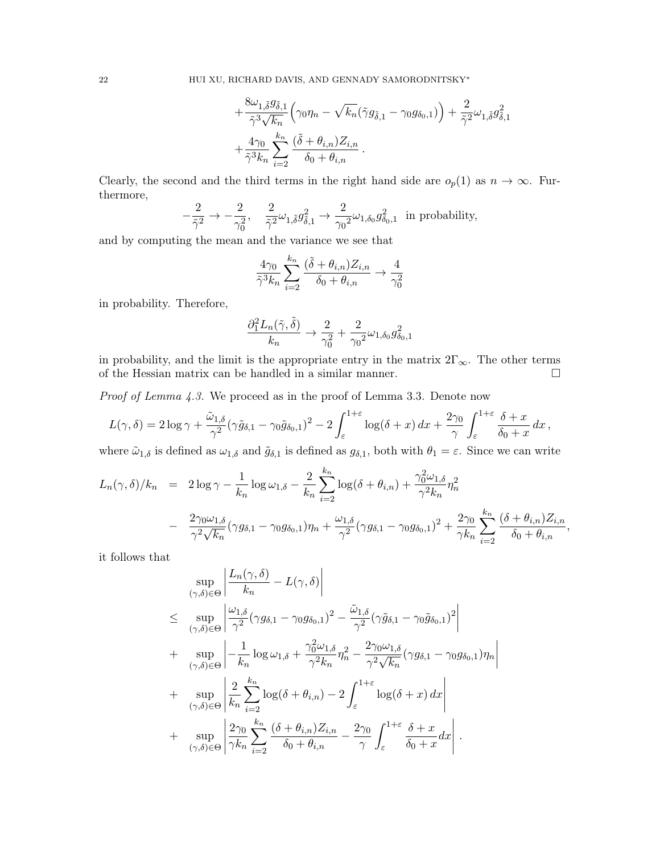$$
+\frac{8\omega_{1,\tilde{\delta}}g_{\tilde{\delta},1}}{\tilde{\gamma}^3\sqrt{k_n}}\left(\gamma_0\eta_n-\sqrt{k_n}(\tilde{\gamma}g_{\tilde{\delta},1}-\gamma_0g_{\delta_0,1})\right)+\frac{2}{\tilde{\gamma}^2}\omega_{1,\tilde{\delta}}g_{\tilde{\delta},1}^2
$$

$$
+\frac{4\gamma_0}{\tilde{\gamma}^3k_n}\sum_{i=2}^{k_n}\frac{(\tilde{\delta}+\theta_{i,n})Z_{i,n}}{\delta_0+\theta_{i,n}}.
$$

Clearly, the second and the third terms in the right hand side are  $o_p(1)$  as  $n \to \infty$ . Furthermore,

$$
-\frac{2}{\tilde{\gamma}^2}\rightarrow -\frac{2}{\gamma_0^2},\quad \frac{2}{\tilde{\gamma}^2}\omega_{1,\tilde{\delta}}g_{\tilde{\delta},1}^2\rightarrow \frac{2}{\gamma_0^2}\omega_{1,\delta_0}g_{\delta_0,1}^2\;\; \text{in probability,}
$$

and by computing the mean and the variance we see that

$$
\frac{4\gamma_0}{\tilde{\gamma}^3 k_n} \sum_{i=2}^{k_n} \frac{(\tilde{\delta} + \theta_{i,n}) Z_{i,n}}{\delta_0 + \theta_{i,n}} \to \frac{4}{\gamma_0^2}
$$

in probability. Therefore,

$$
\frac{\partial_1^2 L_n(\tilde{\gamma},\tilde{\delta})}{k_n}\rightarrow \frac{2}{\gamma_0^2}+\frac{2}{\gamma_0^2}\omega_{1,\delta_0}g_{\delta_0,1}^2
$$

in probability, and the limit is the appropriate entry in the matrix  $2\Gamma_{\infty}$ . The other terms of the Hessian matrix can be handled in a similar manner.  $\Box$ 

Proof of Lemma 4.3. We proceed as in the proof of Lemma 3.3. Denote now

$$
L(\gamma,\delta) = 2\log \gamma + \frac{\tilde{\omega}_{1,\delta}}{\gamma^2} (\gamma \tilde{g}_{\delta,1} - \gamma_0 \tilde{g}_{\delta_0,1})^2 - 2\int_{\varepsilon}^{1+\varepsilon} \log(\delta + x) dx + \frac{2\gamma_0}{\gamma} \int_{\varepsilon}^{1+\varepsilon} \frac{\delta + x}{\delta_0 + x} dx,
$$

where  $\tilde{\omega}_{1,\delta}$  is defined as  $\omega_{1,\delta}$  and  $\tilde{g}_{\delta,1}$  is defined as  $g_{\delta,1}$ , both with  $\theta_1 = \varepsilon$ . Since we can write

$$
L_n(\gamma, \delta)/k_n = 2 \log \gamma - \frac{1}{k_n} \log \omega_{1, \delta} - \frac{2}{k_n} \sum_{i=2}^{k_n} \log(\delta + \theta_{i,n}) + \frac{\gamma_0^2 \omega_{1, \delta}}{\gamma^2 k_n} \eta_n^2
$$
  
- 
$$
\frac{2 \gamma_0 \omega_{1, \delta}}{\gamma^2 \sqrt{k_n}} (\gamma g_{\delta, 1} - \gamma_0 g_{\delta_0, 1}) \eta_n + \frac{\omega_{1, \delta}}{\gamma^2} (\gamma g_{\delta, 1} - \gamma_0 g_{\delta_0, 1})^2 + \frac{2 \gamma_0}{\gamma k_n} \sum_{i=2}^{k_n} \frac{(\delta + \theta_{i,n}) Z_{i,n}}{\delta_0 + \theta_{i,n}},
$$

it follows that

$$
\sup_{(\gamma,\delta)\in\Theta} \left| \frac{L_n(\gamma,\delta)}{k_n} - L(\gamma,\delta) \right|
$$
\n
$$
\leq \sup_{(\gamma,\delta)\in\Theta} \left| \frac{\omega_{1,\delta}}{\gamma^2} (\gamma g_{\delta,1} - \gamma_0 g_{\delta_0,1})^2 - \frac{\tilde{\omega}_{1,\delta}}{\gamma^2} (\gamma \tilde{g}_{\delta,1} - \gamma_0 \tilde{g}_{\delta_0,1})^2 \right|
$$
\n+ 
$$
\sup_{(\gamma,\delta)\in\Theta} \left| -\frac{1}{k_n} \log \omega_{1,\delta} + \frac{\gamma_0^2 \omega_{1,\delta}}{\gamma^2 k_n} \eta_n^2 - \frac{2\gamma_0 \omega_{1,\delta}}{\gamma^2 \sqrt{k_n}} (\gamma g_{\delta,1} - \gamma_0 g_{\delta_0,1}) \eta_n \right|
$$
\n+ 
$$
\sup_{(\gamma,\delta)\in\Theta} \left| \frac{2}{k_n} \sum_{i=2}^{k_n} \log(\delta + \theta_{i,n}) - 2 \int_{\varepsilon}^{1+\varepsilon} \log(\delta + x) dx \right|
$$
\n+ 
$$
\sup_{(\gamma,\delta)\in\Theta} \left| \frac{2\gamma_0}{\gamma k_n} \sum_{i=2}^{k_n} \frac{(\delta + \theta_{i,n}) Z_{i,n}}{\delta_0 + \theta_{i,n}} - \frac{2\gamma_0}{\gamma} \int_{\varepsilon}^{1+\varepsilon} \frac{\delta + x}{\delta_0 + x} dx \right|.
$$

 $\overline{\phantom{a}}$ I  $\overline{\phantom{a}}$  $\mid$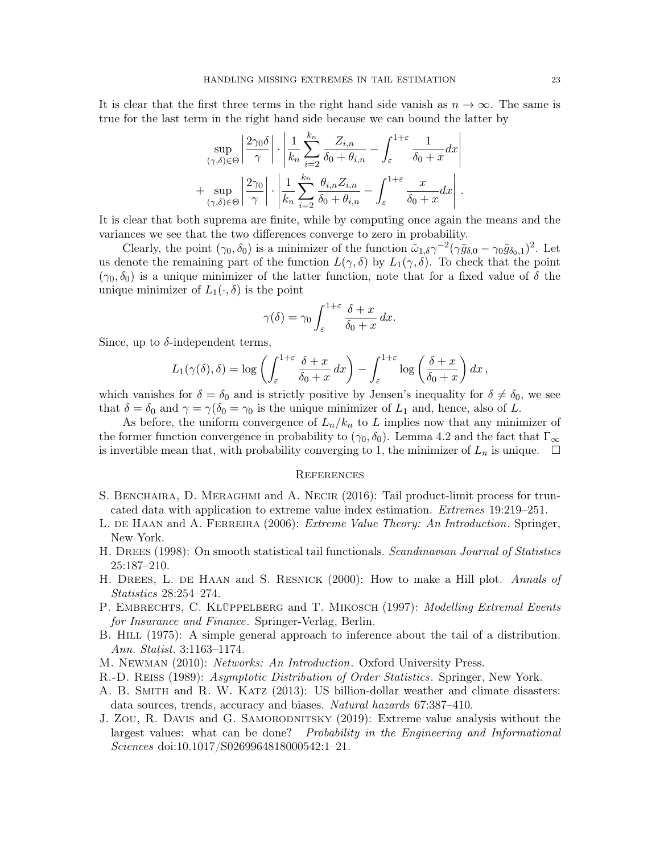It is clear that the first three terms in the right hand side vanish as  $n \to \infty$ . The same is true for the last term in the right hand side because we can bound the latter by

$$
\sup_{(\gamma,\delta)\in\Theta} \left| \frac{2\gamma_0 \delta}{\gamma} \right| \cdot \left| \frac{1}{k_n} \sum_{i=2}^{k_n} \frac{Z_{i,n}}{\delta_0 + \theta_{i,n}} - \int_{\varepsilon}^{1+\varepsilon} \frac{1}{\delta_0 + x} dx \right|
$$
  
+ 
$$
\sup_{(\gamma,\delta)\in\Theta} \left| \frac{2\gamma_0}{\gamma} \right| \cdot \left| \frac{1}{k_n} \sum_{i=2}^{k_n} \frac{\theta_{i,n} Z_{i,n}}{\delta_0 + \theta_{i,n}} - \int_{\varepsilon}^{1+\varepsilon} \frac{x}{\delta_0 + x} dx \right|.
$$

It is clear that both suprema are finite, while by computing once again the means and the variances we see that the two differences converge to zero in probability.

Clearly, the point  $(\gamma_0, \delta_0)$  is a minimizer of the function  $\tilde{\omega}_{1,\delta} \gamma^{-2} (\gamma \tilde{g}_{\delta,0} - \gamma_0 \tilde{g}_{\delta_0,1})^2$ . Let us denote the remaining part of the function  $L(\gamma, \delta)$  by  $L_1(\gamma, \delta)$ . To check that the point  $(\gamma_0, \delta_0)$  is a unique minimizer of the latter function, note that for a fixed value of  $\delta$  the unique minimizer of  $L_1(\cdot, \delta)$  is the point

$$
\gamma(\delta) = \gamma_0 \int_{\varepsilon}^{1+\varepsilon} \frac{\delta + x}{\delta_0 + x} \, dx.
$$

Since, up to  $\delta$ -independent terms,

$$
L_1(\gamma(\delta), \delta) = \log \left( \int_{\varepsilon}^{1+\varepsilon} \frac{\delta + x}{\delta_0 + x} dx \right) - \int_{\varepsilon}^{1+\varepsilon} \log \left( \frac{\delta + x}{\delta_0 + x} \right) dx,
$$

which vanishes for  $\delta = \delta_0$  and is strictly positive by Jensen's inequality for  $\delta \neq \delta_0$ , we see that  $\delta = \delta_0$  and  $\gamma = \gamma(\delta_0 = \gamma_0)$  is the unique minimizer of  $L_1$  and, hence, also of L.

As before, the uniform convergence of  $L_n/k_n$  to L implies now that any minimizer of the former function convergence in probability to  $(\gamma_0, \delta_0)$ . Lemma 4.2 and the fact that  $\Gamma_{\infty}$ is invertible mean that, with probability converging to 1, the minimizer of  $L_n$  is unique.  $\Box$ 

#### **REFERENCES**

- S. BENCHAIRA, D. MERAGHMI and A. NECIR (2016): Tail product-limit process for truncated data with application to extreme value index estimation. Extremes 19:219–251.
- L. DE HAAN and A. FERREIRA (2006): *Extreme Value Theory: An Introduction*. Springer, New York.
- H. DREES (1998): On smooth statistical tail functionals. Scandinavian Journal of Statistics 25:187–210.
- H. DREES, L. DE HAAN and S. RESNICK (2000): How to make a Hill plot. Annals of Statistics 28:254–274.
- P. EMBRECHTS, C. KLÜPPELBERG and T. MIKOSCH (1997): Modelling Extremal Events for Insurance and Finance. Springer-Verlag, Berlin.
- B. HILL (1975): A simple general approach to inference about the tail of a distribution. Ann. Statist. 3:1163–1174.
- M. Newman (2010): Networks: An Introduction. Oxford University Press.
- R.-D. Reiss (1989): Asymptotic Distribution of Order Statistics. Springer, New York.
- A. B. Smith and R. W. Katz (2013): US billion-dollar weather and climate disasters: data sources, trends, accuracy and biases. Natural hazards 67:387–410.
- J. Zou, R. Davis and G. SAMORODNITSKY (2019): Extreme value analysis without the largest values: what can be done? Probability in the Engineering and Informational Sciences doi:10.1017/S0269964818000542:1–21.